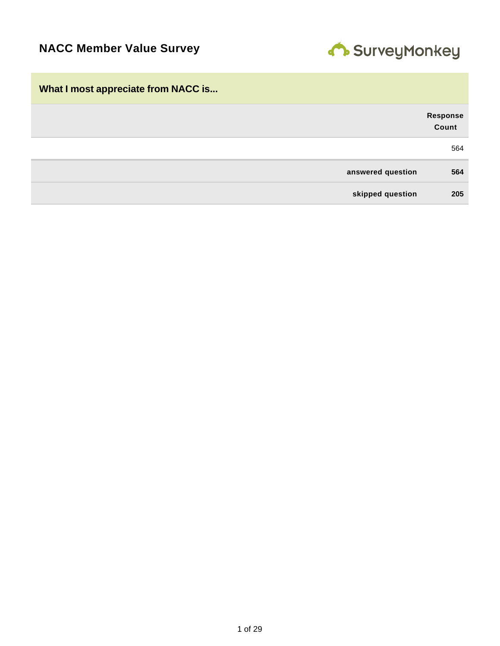

| What I most appreciate from NACC is |                          |
|-------------------------------------|--------------------------|
|                                     | <b>Response</b><br>Count |
|                                     | 564                      |
| answered question                   | 564                      |
| skipped question                    | 205                      |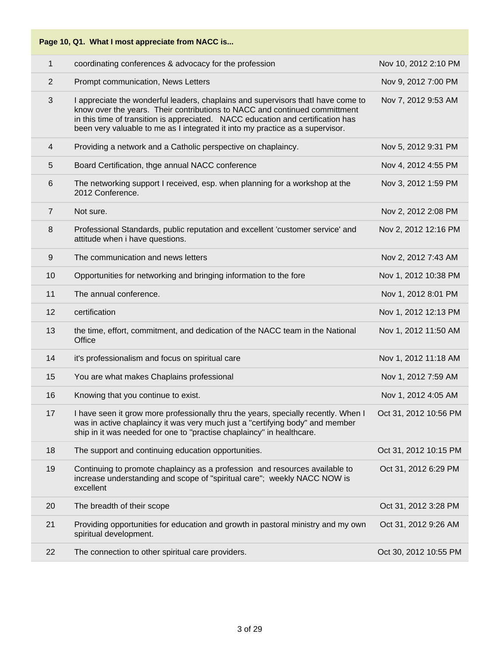| Page 10, Q1. What I most appreciate from NACC is |                                                                                                                                                                                                                                                                                                                                    |                       |  |  |
|--------------------------------------------------|------------------------------------------------------------------------------------------------------------------------------------------------------------------------------------------------------------------------------------------------------------------------------------------------------------------------------------|-----------------------|--|--|
| $\mathbf{1}$                                     | coordinating conferences & advocacy for the profession                                                                                                                                                                                                                                                                             | Nov 10, 2012 2:10 PM  |  |  |
| $\overline{2}$                                   | Prompt communication, News Letters                                                                                                                                                                                                                                                                                                 | Nov 9, 2012 7:00 PM   |  |  |
| 3                                                | I appreciate the wonderful leaders, chaplains and supervisors thatI have come to<br>know over the years. Their contributions to NACC and continued committment<br>in this time of transition is appreciated. NACC education and certification has<br>been very valuable to me as I integrated it into my practice as a supervisor. | Nov 7, 2012 9:53 AM   |  |  |
| 4                                                | Providing a network and a Catholic perspective on chaplaincy.                                                                                                                                                                                                                                                                      | Nov 5, 2012 9:31 PM   |  |  |
| 5                                                | Board Certification, thge annual NACC conference                                                                                                                                                                                                                                                                                   | Nov 4, 2012 4:55 PM   |  |  |
| $6\,$                                            | The networking support I received, esp. when planning for a workshop at the<br>2012 Conference.                                                                                                                                                                                                                                    | Nov 3, 2012 1:59 PM   |  |  |
| $\overline{7}$                                   | Not sure.                                                                                                                                                                                                                                                                                                                          | Nov 2, 2012 2:08 PM   |  |  |
| 8                                                | Professional Standards, public reputation and excellent 'customer service' and<br>attitude when i have questions.                                                                                                                                                                                                                  | Nov 2, 2012 12:16 PM  |  |  |
| $9\,$                                            | The communication and news letters                                                                                                                                                                                                                                                                                                 | Nov 2, 2012 7:43 AM   |  |  |
| 10                                               | Opportunities for networking and bringing information to the fore                                                                                                                                                                                                                                                                  | Nov 1, 2012 10:38 PM  |  |  |
| 11                                               | The annual conference.                                                                                                                                                                                                                                                                                                             | Nov 1, 2012 8:01 PM   |  |  |
| 12                                               | certification                                                                                                                                                                                                                                                                                                                      | Nov 1, 2012 12:13 PM  |  |  |
| 13                                               | the time, effort, commitment, and dedication of the NACC team in the National<br>Office                                                                                                                                                                                                                                            | Nov 1, 2012 11:50 AM  |  |  |
| 14                                               | it's professionalism and focus on spiritual care                                                                                                                                                                                                                                                                                   | Nov 1, 2012 11:18 AM  |  |  |
| 15                                               | You are what makes Chaplains professional                                                                                                                                                                                                                                                                                          | Nov 1, 2012 7:59 AM   |  |  |
| 16                                               | Knowing that you continue to exist.                                                                                                                                                                                                                                                                                                | Nov 1, 2012 4:05 AM   |  |  |
| 17                                               | I have seen it grow more professionally thru the years, specially recently. When I<br>was in active chaplaincy it was very much just a "certifying body" and member<br>ship in it was needed for one to "practise chaplaincy" in healthcare.                                                                                       | Oct 31, 2012 10:56 PM |  |  |
| 18                                               | The support and continuing education opportunities.                                                                                                                                                                                                                                                                                | Oct 31, 2012 10:15 PM |  |  |
| 19                                               | Continuing to promote chaplaincy as a profession and resources available to<br>increase understanding and scope of "spiritual care"; weekly NACC NOW is<br>excellent                                                                                                                                                               | Oct 31, 2012 6:29 PM  |  |  |
| 20                                               | The breadth of their scope                                                                                                                                                                                                                                                                                                         | Oct 31, 2012 3:28 PM  |  |  |
| 21                                               | Providing opportunities for education and growth in pastoral ministry and my own<br>spiritual development.                                                                                                                                                                                                                         | Oct 31, 2012 9:26 AM  |  |  |
| 22                                               | The connection to other spiritual care providers.                                                                                                                                                                                                                                                                                  | Oct 30, 2012 10:55 PM |  |  |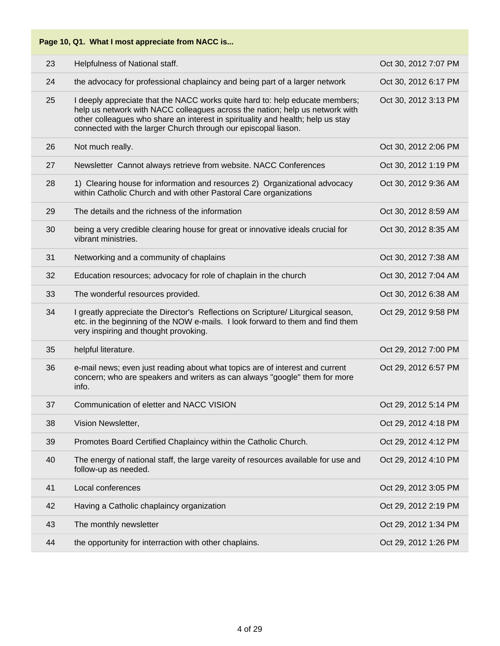| Page 10, Q1. What I most appreciate from NACC is |                                                                                                                                                                                                                                                                                                                   |                      |  |
|--------------------------------------------------|-------------------------------------------------------------------------------------------------------------------------------------------------------------------------------------------------------------------------------------------------------------------------------------------------------------------|----------------------|--|
| 23                                               | Helpfulness of National staff.                                                                                                                                                                                                                                                                                    | Oct 30, 2012 7:07 PM |  |
| 24                                               | the advocacy for professional chaplaincy and being part of a larger network                                                                                                                                                                                                                                       | Oct 30, 2012 6:17 PM |  |
| 25                                               | I deeply appreciate that the NACC works quite hard to: help educate members;<br>help us network with NACC colleagues across the nation; help us network with<br>other colleagues who share an interest in spirituality and health; help us stay<br>connected with the larger Church through our episcopal liason. | Oct 30, 2012 3:13 PM |  |
| 26                                               | Not much really.                                                                                                                                                                                                                                                                                                  | Oct 30, 2012 2:06 PM |  |
| 27                                               | Newsletter Cannot always retrieve from website. NACC Conferences                                                                                                                                                                                                                                                  | Oct 30, 2012 1:19 PM |  |
| 28                                               | 1) Clearing house for information and resources 2) Organizational advocacy<br>within Catholic Church and with other Pastoral Care organizations                                                                                                                                                                   | Oct 30, 2012 9:36 AM |  |
| 29                                               | The details and the richness of the information                                                                                                                                                                                                                                                                   | Oct 30, 2012 8:59 AM |  |
| 30                                               | being a very credible clearing house for great or innovative ideals crucial for<br>vibrant ministries.                                                                                                                                                                                                            | Oct 30, 2012 8:35 AM |  |
| 31                                               | Networking and a community of chaplains                                                                                                                                                                                                                                                                           | Oct 30, 2012 7:38 AM |  |
| 32                                               | Education resources; advocacy for role of chaplain in the church                                                                                                                                                                                                                                                  | Oct 30, 2012 7:04 AM |  |
| 33                                               | The wonderful resources provided.                                                                                                                                                                                                                                                                                 | Oct 30, 2012 6:38 AM |  |
| 34                                               | I greatly appreciate the Director's Reflections on Scripture/ Liturgical season,<br>etc. in the beginning of the NOW e-mails. I look forward to them and find them<br>very inspiring and thought provoking.                                                                                                       | Oct 29, 2012 9:58 PM |  |
| 35                                               | helpful literature.                                                                                                                                                                                                                                                                                               | Oct 29, 2012 7:00 PM |  |
| 36                                               | e-mail news; even just reading about what topics are of interest and current<br>concern; who are speakers and writers as can always "google" them for more<br>info.                                                                                                                                               | Oct 29, 2012 6:57 PM |  |
| 37                                               | Communication of eletter and NACC VISION                                                                                                                                                                                                                                                                          | Oct 29, 2012 5:14 PM |  |
| 38                                               | Vision Newsletter,                                                                                                                                                                                                                                                                                                | Oct 29, 2012 4:18 PM |  |
| 39                                               | Promotes Board Certified Chaplaincy within the Catholic Church.                                                                                                                                                                                                                                                   | Oct 29, 2012 4:12 PM |  |
| 40                                               | The energy of national staff, the large vareity of resources available for use and<br>follow-up as needed.                                                                                                                                                                                                        | Oct 29, 2012 4:10 PM |  |
| 41                                               | Local conferences                                                                                                                                                                                                                                                                                                 | Oct 29, 2012 3:05 PM |  |
| 42                                               | Having a Catholic chaplaincy organization                                                                                                                                                                                                                                                                         | Oct 29, 2012 2:19 PM |  |
| 43                                               | The monthly newsletter                                                                                                                                                                                                                                                                                            | Oct 29, 2012 1:34 PM |  |
| 44                                               | the opportunity for interraction with other chaplains.                                                                                                                                                                                                                                                            | Oct 29, 2012 1:26 PM |  |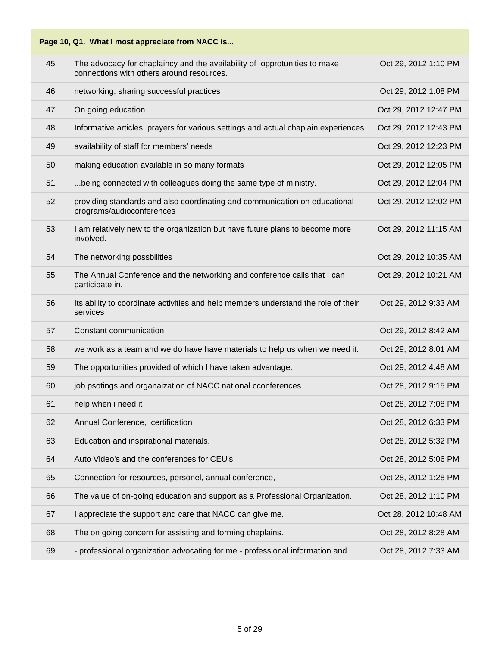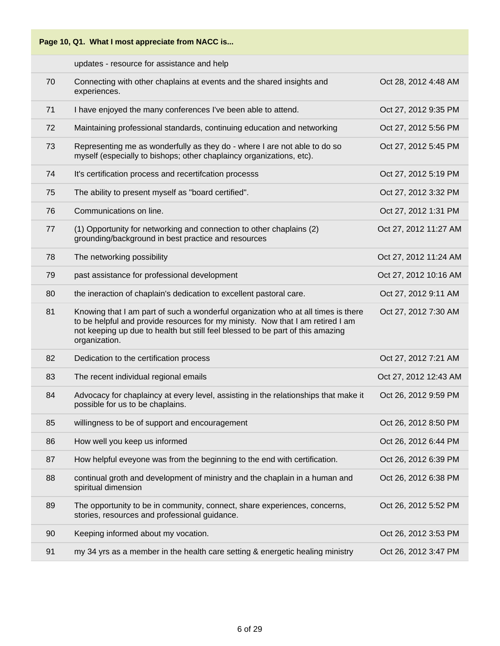|    | Page 10, Q1. What I most appreciate from NACC is                                                                                                                                                                                                                       |                       |  |
|----|------------------------------------------------------------------------------------------------------------------------------------------------------------------------------------------------------------------------------------------------------------------------|-----------------------|--|
|    | updates - resource for assistance and help                                                                                                                                                                                                                             |                       |  |
| 70 | Connecting with other chaplains at events and the shared insights and<br>experiences.                                                                                                                                                                                  | Oct 28, 2012 4:48 AM  |  |
| 71 | I have enjoyed the many conferences I've been able to attend.                                                                                                                                                                                                          | Oct 27, 2012 9:35 PM  |  |
| 72 | Maintaining professional standards, continuing education and networking                                                                                                                                                                                                | Oct 27, 2012 5:56 PM  |  |
| 73 | Representing me as wonderfully as they do - where I are not able to do so<br>myself (especially to bishops; other chaplaincy organizations, etc).                                                                                                                      | Oct 27, 2012 5:45 PM  |  |
| 74 | It's certification process and recertifcation processs                                                                                                                                                                                                                 | Oct 27, 2012 5:19 PM  |  |
| 75 | The ability to present myself as "board certified".                                                                                                                                                                                                                    | Oct 27, 2012 3:32 PM  |  |
| 76 | Communications on line.                                                                                                                                                                                                                                                | Oct 27, 2012 1:31 PM  |  |
| 77 | (1) Opportunity for networking and connection to other chaplains (2)<br>grounding/background in best practice and resources                                                                                                                                            | Oct 27, 2012 11:27 AM |  |
| 78 | The networking possibility                                                                                                                                                                                                                                             | Oct 27, 2012 11:24 AM |  |
| 79 | past assistance for professional development                                                                                                                                                                                                                           | Oct 27, 2012 10:16 AM |  |
| 80 | the ineraction of chaplain's dedication to excellent pastoral care.                                                                                                                                                                                                    | Oct 27, 2012 9:11 AM  |  |
| 81 | Knowing that I am part of such a wonderful organization who at all times is there<br>to be helpful and provide resources for my ministy. Now that I am retired I am<br>not keeping up due to health but still feel blessed to be part of this amazing<br>organization. | Oct 27, 2012 7:30 AM  |  |
| 82 | Dedication to the certification process                                                                                                                                                                                                                                | Oct 27, 2012 7:21 AM  |  |
| 83 | The recent individual regional emails                                                                                                                                                                                                                                  | Oct 27, 2012 12:43 AM |  |
| 84 | Advocacy for chaplaincy at every level, assisting in the relationships that make it<br>possible for us to be chaplains.                                                                                                                                                | Oct 26, 2012 9:59 PM  |  |
| 85 | willingness to be of support and encouragement                                                                                                                                                                                                                         | Oct 26, 2012 8:50 PM  |  |
| 86 | How well you keep us informed                                                                                                                                                                                                                                          | Oct 26, 2012 6:44 PM  |  |
| 87 | How helpful eveyone was from the beginning to the end with certification.                                                                                                                                                                                              | Oct 26, 2012 6:39 PM  |  |
| 88 | continual groth and development of ministry and the chaplain in a human and<br>spiritual dimension                                                                                                                                                                     | Oct 26, 2012 6:38 PM  |  |
| 89 | The opportunity to be in community, connect, share experiences, concerns,<br>stories, resources and professional guidance.                                                                                                                                             | Oct 26, 2012 5:52 PM  |  |
| 90 | Keeping informed about my vocation.                                                                                                                                                                                                                                    | Oct 26, 2012 3:53 PM  |  |
| 91 | my 34 yrs as a member in the health care setting & energetic healing ministry                                                                                                                                                                                          | Oct 26, 2012 3:47 PM  |  |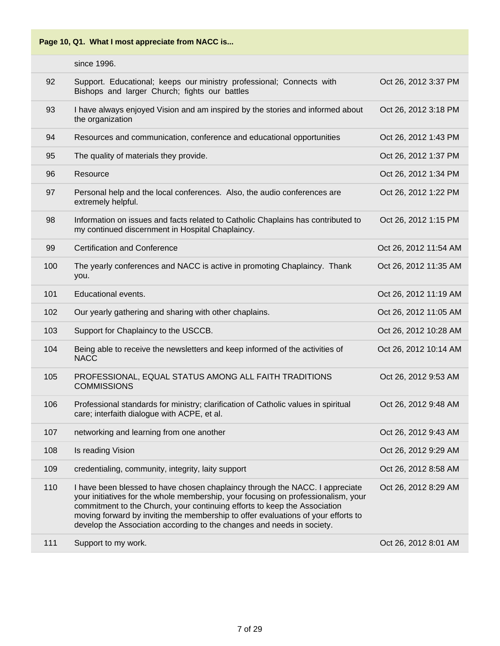| Page 10, Q1. What I most appreciate from NACC is |  |  |  |  |  |  |
|--------------------------------------------------|--|--|--|--|--|--|
|--------------------------------------------------|--|--|--|--|--|--|

|     | since 1996.                                                                                                                                                                                                                                                                                                                                                                                                   |                       |
|-----|---------------------------------------------------------------------------------------------------------------------------------------------------------------------------------------------------------------------------------------------------------------------------------------------------------------------------------------------------------------------------------------------------------------|-----------------------|
| 92  | Support. Educational; keeps our ministry professional; Connects with<br>Bishops and larger Church; fights our battles                                                                                                                                                                                                                                                                                         | Oct 26, 2012 3:37 PM  |
| 93  | I have always enjoyed Vision and am inspired by the stories and informed about<br>the organization                                                                                                                                                                                                                                                                                                            | Oct 26, 2012 3:18 PM  |
| 94  | Resources and communication, conference and educational opportunities                                                                                                                                                                                                                                                                                                                                         | Oct 26, 2012 1:43 PM  |
| 95  | The quality of materials they provide.                                                                                                                                                                                                                                                                                                                                                                        | Oct 26, 2012 1:37 PM  |
| 96  | Resource                                                                                                                                                                                                                                                                                                                                                                                                      | Oct 26, 2012 1:34 PM  |
| 97  | Personal help and the local conferences. Also, the audio conferences are<br>extremely helpful.                                                                                                                                                                                                                                                                                                                | Oct 26, 2012 1:22 PM  |
| 98  | Information on issues and facts related to Catholic Chaplains has contributed to<br>my continued discernment in Hospital Chaplaincy.                                                                                                                                                                                                                                                                          | Oct 26, 2012 1:15 PM  |
| 99  | <b>Certification and Conference</b>                                                                                                                                                                                                                                                                                                                                                                           | Oct 26, 2012 11:54 AM |
| 100 | The yearly conferences and NACC is active in promoting Chaplaincy. Thank<br>you.                                                                                                                                                                                                                                                                                                                              | Oct 26, 2012 11:35 AM |
| 101 | Educational events.                                                                                                                                                                                                                                                                                                                                                                                           | Oct 26, 2012 11:19 AM |
| 102 | Our yearly gathering and sharing with other chaplains.                                                                                                                                                                                                                                                                                                                                                        | Oct 26, 2012 11:05 AM |
| 103 | Support for Chaplaincy to the USCCB.                                                                                                                                                                                                                                                                                                                                                                          | Oct 26, 2012 10:28 AM |
| 104 | Being able to receive the newsletters and keep informed of the activities of<br><b>NACC</b>                                                                                                                                                                                                                                                                                                                   | Oct 26, 2012 10:14 AM |
| 105 | PROFESSIONAL, EQUAL STATUS AMONG ALL FAITH TRADITIONS<br><b>COMMISSIONS</b>                                                                                                                                                                                                                                                                                                                                   | Oct 26, 2012 9:53 AM  |
| 106 | Professional standards for ministry; clarification of Catholic values in spiritual<br>care; interfaith dialogue with ACPE, et al.                                                                                                                                                                                                                                                                             | Oct 26, 2012 9:48 AM  |
| 107 | networking and learning from one another                                                                                                                                                                                                                                                                                                                                                                      | Oct 26, 2012 9:43 AM  |
| 108 | Is reading Vision                                                                                                                                                                                                                                                                                                                                                                                             | Oct 26, 2012 9:29 AM  |
| 109 | credentialing, community, integrity, laity support                                                                                                                                                                                                                                                                                                                                                            | Oct 26, 2012 8:58 AM  |
| 110 | I have been blessed to have chosen chaplaincy through the NACC. I appreciate<br>your initiatives for the whole membership, your focusing on professionalism, your<br>commitment to the Church, your continuing efforts to keep the Association<br>moving forward by inviting the membership to offer evaluations of your efforts to<br>develop the Association according to the changes and needs in society. | Oct 26, 2012 8:29 AM  |
| 111 | Support to my work.                                                                                                                                                                                                                                                                                                                                                                                           | Oct 26, 2012 8:01 AM  |
|     |                                                                                                                                                                                                                                                                                                                                                                                                               |                       |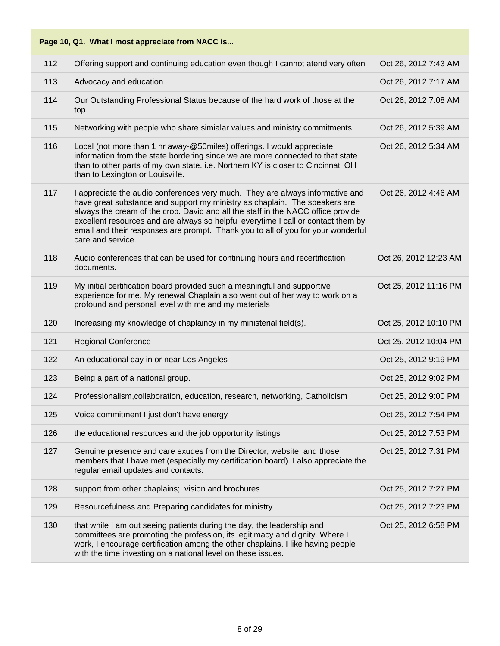| 112 | Offering support and continuing education even though I cannot atend very often                                                                                                                                                                                                                                                                                                                                                               | Oct 26, 2012 7:43 AM  |
|-----|-----------------------------------------------------------------------------------------------------------------------------------------------------------------------------------------------------------------------------------------------------------------------------------------------------------------------------------------------------------------------------------------------------------------------------------------------|-----------------------|
| 113 | Advocacy and education                                                                                                                                                                                                                                                                                                                                                                                                                        | Oct 26, 2012 7:17 AM  |
| 114 | Our Outstanding Professional Status because of the hard work of those at the<br>top.                                                                                                                                                                                                                                                                                                                                                          | Oct 26, 2012 7:08 AM  |
| 115 | Networking with people who share simialar values and ministry commitments                                                                                                                                                                                                                                                                                                                                                                     | Oct 26, 2012 5:39 AM  |
| 116 | Local (not more than 1 hr away-@50miles) offerings. I would appreciate<br>information from the state bordering since we are more connected to that state<br>than to other parts of my own state. i.e. Northern KY is closer to Cincinnati OH<br>than to Lexington or Louisville.                                                                                                                                                              | Oct 26, 2012 5:34 AM  |
| 117 | I appreciate the audio conferences very much. They are always informative and<br>have great substance and support my ministry as chaplain. The speakers are<br>always the cream of the crop. David and all the staff in the NACC office provide<br>excellent resources and are always so helpful everytime I call or contact them by<br>email and their responses are prompt. Thank you to all of you for your wonderful<br>care and service. | Oct 26, 2012 4:46 AM  |
| 118 | Audio conferences that can be used for continuing hours and recertification<br>documents.                                                                                                                                                                                                                                                                                                                                                     | Oct 26, 2012 12:23 AM |
| 119 | My initial certification board provided such a meaningful and supportive<br>experience for me. My renewal Chaplain also went out of her way to work on a<br>profound and personal level with me and my materials                                                                                                                                                                                                                              | Oct 25, 2012 11:16 PM |
| 120 | Increasing my knowledge of chaplaincy in my ministerial field(s).                                                                                                                                                                                                                                                                                                                                                                             | Oct 25, 2012 10:10 PM |
| 121 | <b>Regional Conference</b>                                                                                                                                                                                                                                                                                                                                                                                                                    | Oct 25, 2012 10:04 PM |
| 122 | An educational day in or near Los Angeles                                                                                                                                                                                                                                                                                                                                                                                                     | Oct 25, 2012 9:19 PM  |
| 123 | Being a part of a national group.                                                                                                                                                                                                                                                                                                                                                                                                             | Oct 25, 2012 9:02 PM  |
| 124 | Professionalism, collaboration, education, research, networking, Catholicism                                                                                                                                                                                                                                                                                                                                                                  | Oct 25, 2012 9:00 PM  |
| 125 | Voice commitment I just don't have energy                                                                                                                                                                                                                                                                                                                                                                                                     | Oct 25, 2012 7:54 PM  |
| 126 | the educational resources and the job opportunity listings                                                                                                                                                                                                                                                                                                                                                                                    | Oct 25, 2012 7:53 PM  |
| 127 | Genuine presence and care exudes from the Director, website, and those<br>members that I have met (especially my certification board). I also appreciate the<br>regular email updates and contacts.                                                                                                                                                                                                                                           | Oct 25, 2012 7:31 PM  |
| 128 | support from other chaplains; vision and brochures                                                                                                                                                                                                                                                                                                                                                                                            | Oct 25, 2012 7:27 PM  |
| 129 | Resourcefulness and Preparing candidates for ministry                                                                                                                                                                                                                                                                                                                                                                                         | Oct 25, 2012 7:23 PM  |
| 130 | that while I am out seeing patients during the day, the leadership and<br>committees are promoting the profession, its legitimacy and dignity. Where I<br>work, I encourage certification among the other chaplains. I like having people<br>with the time investing on a national level on these issues.                                                                                                                                     | Oct 25, 2012 6:58 PM  |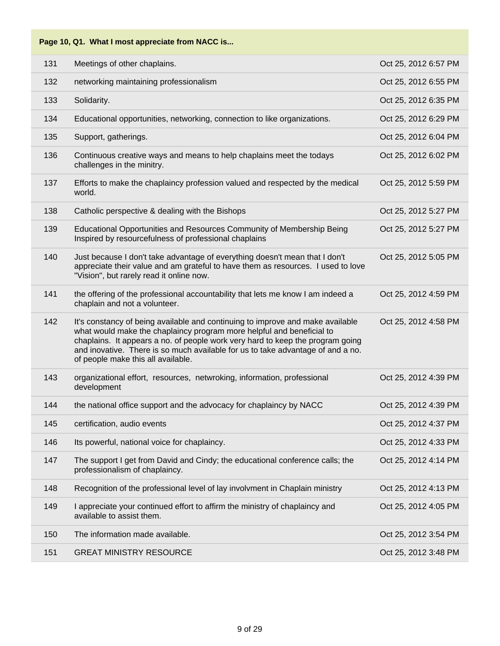| Page 10, Q1. What I most appreciate from NACC is |  |  |
|--------------------------------------------------|--|--|
|--------------------------------------------------|--|--|

| 131 | Meetings of other chaplains.                                                                                                                                                                                                                                                                                                                                       | Oct 25, 2012 6:57 PM |
|-----|--------------------------------------------------------------------------------------------------------------------------------------------------------------------------------------------------------------------------------------------------------------------------------------------------------------------------------------------------------------------|----------------------|
| 132 | networking maintaining professionalism                                                                                                                                                                                                                                                                                                                             | Oct 25, 2012 6:55 PM |
| 133 | Solidarity.                                                                                                                                                                                                                                                                                                                                                        | Oct 25, 2012 6:35 PM |
| 134 | Educational opportunities, networking, connection to like organizations.                                                                                                                                                                                                                                                                                           | Oct 25, 2012 6:29 PM |
| 135 | Support, gatherings.                                                                                                                                                                                                                                                                                                                                               | Oct 25, 2012 6:04 PM |
| 136 | Continuous creative ways and means to help chaplains meet the todays<br>challenges in the minitry.                                                                                                                                                                                                                                                                 | Oct 25, 2012 6:02 PM |
| 137 | Efforts to make the chaplaincy profession valued and respected by the medical<br>world.                                                                                                                                                                                                                                                                            | Oct 25, 2012 5:59 PM |
| 138 | Catholic perspective & dealing with the Bishops                                                                                                                                                                                                                                                                                                                    | Oct 25, 2012 5:27 PM |
| 139 | Educational Opportunities and Resources Community of Membership Being<br>Inspired by resourcefulness of professional chaplains                                                                                                                                                                                                                                     | Oct 25, 2012 5:27 PM |
| 140 | Just because I don't take advantage of everything doesn't mean that I don't<br>appreciate their value and am grateful to have them as resources. I used to love<br>"Vision", but rarely read it online now.                                                                                                                                                        | Oct 25, 2012 5:05 PM |
| 141 | the offering of the professional accountability that lets me know I am indeed a<br>chaplain and not a volunteer.                                                                                                                                                                                                                                                   | Oct 25, 2012 4:59 PM |
| 142 | It's constancy of being available and continuing to improve and make available<br>what would make the chaplaincy program more helpful and beneficial to<br>chaplains. It appears a no. of people work very hard to keep the program going<br>and inovative. There is so much available for us to take advantage of and a no.<br>of people make this all available. | Oct 25, 2012 4:58 PM |
| 143 | organizational effort, resources, netwroking, information, professional<br>development                                                                                                                                                                                                                                                                             | Oct 25, 2012 4:39 PM |
| 144 | the national office support and the advocacy for chaplaincy by NACC                                                                                                                                                                                                                                                                                                | Oct 25, 2012 4:39 PM |
| 145 | certification, audio events                                                                                                                                                                                                                                                                                                                                        | Oct 25, 2012 4:37 PM |
| 146 | Its powerful, national voice for chaplaincy.                                                                                                                                                                                                                                                                                                                       | Oct 25, 2012 4:33 PM |
| 147 | The support I get from David and Cindy; the educational conference calls; the<br>professionalism of chaplaincy.                                                                                                                                                                                                                                                    | Oct 25, 2012 4:14 PM |
| 148 | Recognition of the professional level of lay involvment in Chaplain ministry                                                                                                                                                                                                                                                                                       | Oct 25, 2012 4:13 PM |
| 149 | I appreciate your continued effort to affirm the ministry of chaplaincy and<br>available to assist them.                                                                                                                                                                                                                                                           | Oct 25, 2012 4:05 PM |
| 150 | The information made available.                                                                                                                                                                                                                                                                                                                                    | Oct 25, 2012 3:54 PM |
| 151 | <b>GREAT MINISTRY RESOURCE</b>                                                                                                                                                                                                                                                                                                                                     | Oct 25, 2012 3:48 PM |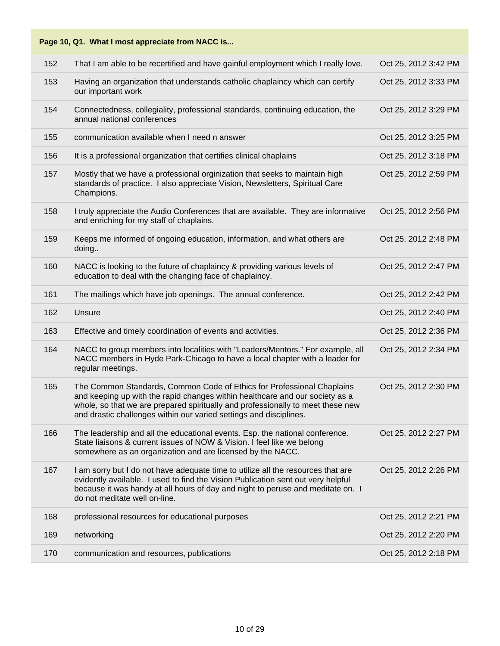| Page 10, Q1. What I most appreciate from NACC is |                                                                                                                                                                                                                                                                                                                 |                      |  |
|--------------------------------------------------|-----------------------------------------------------------------------------------------------------------------------------------------------------------------------------------------------------------------------------------------------------------------------------------------------------------------|----------------------|--|
| 152                                              | That I am able to be recertified and have gainful employment which I really love.                                                                                                                                                                                                                               | Oct 25, 2012 3:42 PM |  |
| 153                                              | Having an organization that understands catholic chaplaincy which can certify<br>our important work                                                                                                                                                                                                             | Oct 25, 2012 3:33 PM |  |
| 154                                              | Connectedness, collegiality, professional standards, continuing education, the<br>annual national conferences                                                                                                                                                                                                   | Oct 25, 2012 3:29 PM |  |
| 155                                              | communication available when I need n answer                                                                                                                                                                                                                                                                    | Oct 25, 2012 3:25 PM |  |
| 156                                              | It is a professional organization that certifies clinical chaplains                                                                                                                                                                                                                                             | Oct 25, 2012 3:18 PM |  |
| 157                                              | Mostly that we have a professional orginization that seeks to maintain high<br>standards of practice. I also appreciate Vision, Newsletters, Spiritual Care<br>Champions.                                                                                                                                       | Oct 25, 2012 2:59 PM |  |
| 158                                              | I truly appreciate the Audio Conferences that are available. They are informative<br>and enriching for my staff of chaplains.                                                                                                                                                                                   | Oct 25, 2012 2:56 PM |  |
| 159                                              | Keeps me informed of ongoing education, information, and what others are<br>doing                                                                                                                                                                                                                               | Oct 25, 2012 2:48 PM |  |
| 160                                              | NACC is looking to the future of chaplaincy & providing various levels of<br>education to deal with the changing face of chaplaincy.                                                                                                                                                                            | Oct 25, 2012 2:47 PM |  |
| 161                                              | The mailings which have job openings. The annual conference.                                                                                                                                                                                                                                                    | Oct 25, 2012 2:42 PM |  |
| 162                                              | Unsure                                                                                                                                                                                                                                                                                                          | Oct 25, 2012 2:40 PM |  |
| 163                                              | Effective and timely coordination of events and activities.                                                                                                                                                                                                                                                     | Oct 25, 2012 2:36 PM |  |
| 164                                              | NACC to group members into localities with "Leaders/Mentors." For example, all<br>NACC members in Hyde Park-Chicago to have a local chapter with a leader for<br>regular meetings.                                                                                                                              | Oct 25, 2012 2:34 PM |  |
| 165                                              | The Common Standards, Common Code of Ethics for Professional Chaplains<br>and keeping up with the rapid changes within healthcare and our society as a<br>whole, so that we are prepared spiritually and professionally to meet these new<br>and drastic challenges within our varied settings and disciplines. | Oct 25, 2012 2:30 PM |  |
| 166                                              | The leadership and all the educational events. Esp. the national conference.<br>State liaisons & current issues of NOW & Vision. I feel like we belong<br>somewhere as an organization and are licensed by the NACC.                                                                                            | Oct 25, 2012 2:27 PM |  |
| 167                                              | I am sorry but I do not have adequate time to utilize all the resources that are<br>evidently available. I used to find the Vision Publication sent out very helpful<br>because it was handy at all hours of day and night to peruse and meditate on. I<br>do not meditate well on-line.                        | Oct 25, 2012 2:26 PM |  |
| 168                                              | professional resources for educational purposes                                                                                                                                                                                                                                                                 | Oct 25, 2012 2:21 PM |  |
| 169                                              | networking                                                                                                                                                                                                                                                                                                      | Oct 25, 2012 2:20 PM |  |
| 170                                              | communication and resources, publications                                                                                                                                                                                                                                                                       | Oct 25, 2012 2:18 PM |  |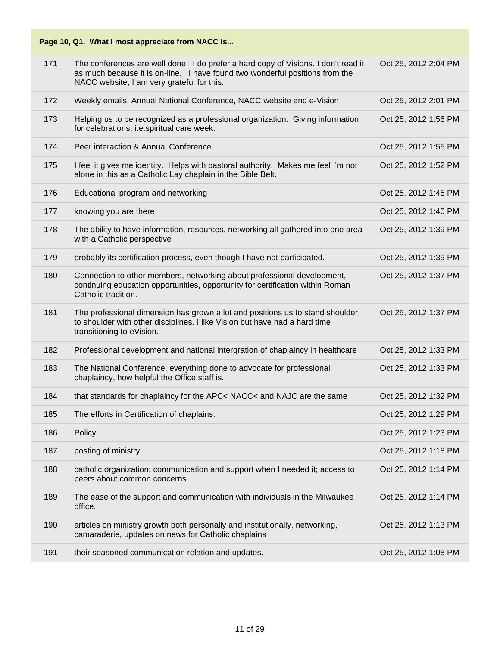| Page 10, Q1. What I most appreciate from NACC is |
|--------------------------------------------------|
|--------------------------------------------------|

| 171 | The conferences are well done. I do prefer a hard copy of Visions. I don't read it<br>as much because it is on-line. I have found two wonderful positions from the<br>NACC website, I am very grateful for this. | Oct 25, 2012 2:04 PM |
|-----|------------------------------------------------------------------------------------------------------------------------------------------------------------------------------------------------------------------|----------------------|
| 172 | Weekly emails, Annual National Conference, NACC website and e-Vision                                                                                                                                             | Oct 25, 2012 2:01 PM |
| 173 | Helping us to be recognized as a professional organization. Giving information<br>for celebrations, i.e.spiritual care week.                                                                                     | Oct 25, 2012 1:56 PM |
| 174 | Peer interaction & Annual Conference                                                                                                                                                                             | Oct 25, 2012 1:55 PM |
| 175 | I feel it gives me identity. Helps with pastoral authority. Makes me feel I'm not<br>alone in this as a Catholic Lay chaplain in the Bible Belt.                                                                 | Oct 25, 2012 1:52 PM |
| 176 | Educational program and networking                                                                                                                                                                               | Oct 25, 2012 1:45 PM |
| 177 | knowing you are there                                                                                                                                                                                            | Oct 25, 2012 1:40 PM |
| 178 | The ability to have information, resources, networking all gathered into one area<br>with a Catholic perspective                                                                                                 | Oct 25, 2012 1:39 PM |
| 179 | probably its certification process, even though I have not participated.                                                                                                                                         | Oct 25, 2012 1:39 PM |
| 180 | Connection to other members, networking about professional development,<br>continuing education opportunities, opportunity for certification within Roman<br>Catholic tradition.                                 | Oct 25, 2012 1:37 PM |
| 181 | The professional dimension has grown a lot and positions us to stand shoulder<br>to shoulder with other disciplines. I like Vision but have had a hard time<br>transitioning to eVision.                         | Oct 25, 2012 1:37 PM |
| 182 | Professional development and national intergration of chaplaincy in healthcare                                                                                                                                   | Oct 25, 2012 1:33 PM |
| 183 | The National Conference, everything done to advocate for professional<br>chaplaincy, how helpful the Office staff is.                                                                                            | Oct 25, 2012 1:33 PM |
| 184 | that standards for chaplaincy for the APC< NACC< and NAJC are the same                                                                                                                                           | Oct 25, 2012 1:32 PM |
| 185 | The efforts in Certification of chaplains.                                                                                                                                                                       | Oct 25, 2012 1:29 PM |
| 186 | Policy                                                                                                                                                                                                           | Oct 25, 2012 1:23 PM |
| 187 | posting of ministry.                                                                                                                                                                                             | Oct 25, 2012 1:18 PM |
| 188 | catholic organization; communication and support when I needed it; access to<br>peers about common concerns                                                                                                      | Oct 25, 2012 1:14 PM |
| 189 | The ease of the support and communication with individuals in the Milwaukee<br>office.                                                                                                                           | Oct 25, 2012 1:14 PM |
| 190 | articles on ministry growth both personally and institutionally, networking,<br>camaraderie, updates on news for Catholic chaplains                                                                              | Oct 25, 2012 1:13 PM |
| 191 | their seasoned communication relation and updates.                                                                                                                                                               | Oct 25, 2012 1:08 PM |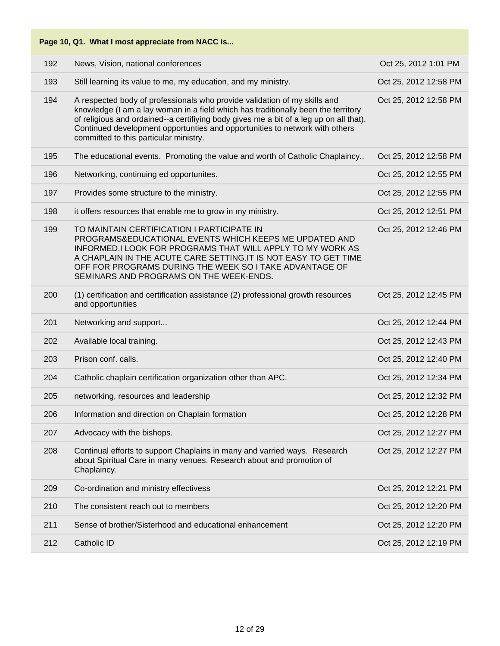|     | Page 10, Q1. What I most appreciate from NACC is                                                                                                                                                                                                                                                                                                                                  |                       |
|-----|-----------------------------------------------------------------------------------------------------------------------------------------------------------------------------------------------------------------------------------------------------------------------------------------------------------------------------------------------------------------------------------|-----------------------|
| 192 | News, Vision, national conferences                                                                                                                                                                                                                                                                                                                                                | Oct 25, 2012 1:01 PM  |
| 193 | Still learning its value to me, my education, and my ministry.                                                                                                                                                                                                                                                                                                                    | Oct 25, 2012 12:58 PM |
| 194 | A respected body of professionals who provide validation of my skills and<br>knowledge (I am a lay woman in a field which has traditionally been the territory<br>of religious and ordained--a certifiying body gives me a bit of a leg up on all that).<br>Continued development opportunties and opportunities to network with others<br>committed to this particular ministry. | Oct 25, 2012 12:58 PM |
| 195 | The educational events. Promoting the value and worth of Catholic Chaplaincy                                                                                                                                                                                                                                                                                                      | Oct 25, 2012 12:58 PM |
| 196 | Networking, continuing ed opportunites.                                                                                                                                                                                                                                                                                                                                           | Oct 25, 2012 12:55 PM |
| 197 | Provides some structure to the ministry.                                                                                                                                                                                                                                                                                                                                          | Oct 25, 2012 12:55 PM |
| 198 | it offers resources that enable me to grow in my ministry.                                                                                                                                                                                                                                                                                                                        | Oct 25, 2012 12:51 PM |
| 199 | TO MAINTAIN CERTIFICATION I PARTICIPATE IN<br>PROGRAMS&EDUCATIONAL EVENTS WHICH KEEPS ME UPDATED AND<br><b>INFORMED.I LOOK FOR PROGRAMS THAT WILL APPLY TO MY WORK AS</b><br>A CHAPLAIN IN THE ACUTE CARE SETTING.IT IS NOT EASY TO GET TIME<br>OFF FOR PROGRAMS DURING THE WEEK SO I TAKE ADVANTAGE OF<br>SEMINARS AND PROGRAMS ON THE WEEK-ENDS.                                | Oct 25, 2012 12:46 PM |
| 200 | (1) certification and certification assistance (2) professional growth resources<br>and opportunities                                                                                                                                                                                                                                                                             | Oct 25, 2012 12:45 PM |
| 201 | Networking and support                                                                                                                                                                                                                                                                                                                                                            | Oct 25, 2012 12:44 PM |
| 202 | Available local training.                                                                                                                                                                                                                                                                                                                                                         | Oct 25, 2012 12:43 PM |
| 203 | Prison conf. calls.                                                                                                                                                                                                                                                                                                                                                               | Oct 25, 2012 12:40 PM |
| 204 | Catholic chaplain certification organization other than APC.                                                                                                                                                                                                                                                                                                                      | Oct 25, 2012 12:34 PM |
| 205 | networking, resources and leadership                                                                                                                                                                                                                                                                                                                                              | Oct 25, 2012 12:32 PM |
| 206 | Information and direction on Chaplain formation                                                                                                                                                                                                                                                                                                                                   | Oct 25, 2012 12:28 PM |
| 207 | Advocacy with the bishops.                                                                                                                                                                                                                                                                                                                                                        | Oct 25, 2012 12:27 PM |
| 208 | Continual efforts to support Chaplains in many and varried ways. Research<br>about Spiritual Care in many venues. Research about and promotion of<br>Chaplaincy.                                                                                                                                                                                                                  | Oct 25, 2012 12:27 PM |
| 209 | Co-ordination and ministry effectivess                                                                                                                                                                                                                                                                                                                                            | Oct 25, 2012 12:21 PM |
| 210 | The consistent reach out to members                                                                                                                                                                                                                                                                                                                                               | Oct 25, 2012 12:20 PM |
| 211 | Sense of brother/Sisterhood and educational enhancement                                                                                                                                                                                                                                                                                                                           | Oct 25, 2012 12:20 PM |
| 212 | Catholic ID                                                                                                                                                                                                                                                                                                                                                                       | Oct 25, 2012 12:19 PM |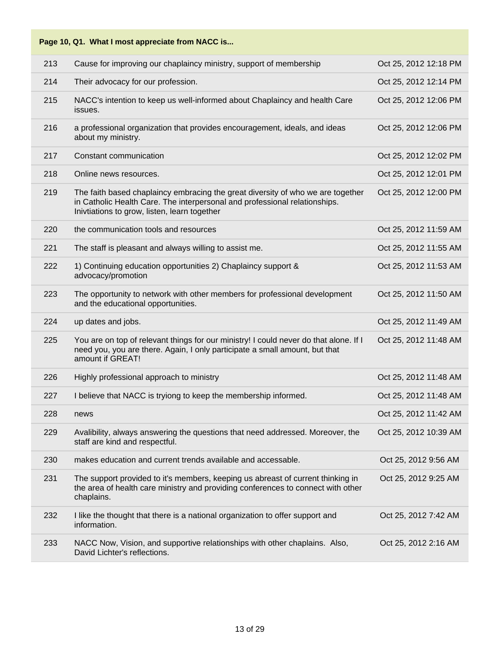| Page 10, Q1. What I most appreciate from NACC is |  |  |  |  |  |
|--------------------------------------------------|--|--|--|--|--|
|--------------------------------------------------|--|--|--|--|--|

| 213 | Cause for improving our chaplaincy ministry, support of membership                                                                                                                                            | Oct 25, 2012 12:18 PM |
|-----|---------------------------------------------------------------------------------------------------------------------------------------------------------------------------------------------------------------|-----------------------|
| 214 | Their advocacy for our profession.                                                                                                                                                                            | Oct 25, 2012 12:14 PM |
| 215 | NACC's intention to keep us well-informed about Chaplaincy and health Care<br>issues.                                                                                                                         | Oct 25, 2012 12:06 PM |
| 216 | a professional organization that provides encouragement, ideals, and ideas<br>about my ministry.                                                                                                              | Oct 25, 2012 12:06 PM |
| 217 | Constant communication                                                                                                                                                                                        | Oct 25, 2012 12:02 PM |
| 218 | Online news resources.                                                                                                                                                                                        | Oct 25, 2012 12:01 PM |
| 219 | The faith based chaplaincy embracing the great diversity of who we are together<br>in Catholic Health Care. The interpersonal and professional relationships.<br>Inivtiations to grow, listen, learn together | Oct 25, 2012 12:00 PM |
| 220 | the communication tools and resources                                                                                                                                                                         | Oct 25, 2012 11:59 AM |
| 221 | The staff is pleasant and always willing to assist me.                                                                                                                                                        | Oct 25, 2012 11:55 AM |
| 222 | 1) Continuing education opportunities 2) Chaplaincy support &<br>advocacy/promotion                                                                                                                           | Oct 25, 2012 11:53 AM |
| 223 | The opportunity to network with other members for professional development<br>and the educational opportunities.                                                                                              | Oct 25, 2012 11:50 AM |
|     |                                                                                                                                                                                                               |                       |
| 224 | up dates and jobs.                                                                                                                                                                                            | Oct 25, 2012 11:49 AM |
| 225 | You are on top of relevant things for our ministry! I could never do that alone. If I<br>need you, you are there. Again, I only participate a small amount, but that<br>amount if GREAT!                      | Oct 25, 2012 11:48 AM |
| 226 | Highly professional approach to ministry                                                                                                                                                                      | Oct 25, 2012 11:48 AM |
| 227 | I believe that NACC is tryiong to keep the membership informed.                                                                                                                                               | Oct 25, 2012 11:48 AM |
| 228 | news                                                                                                                                                                                                          | Oct 25, 2012 11:42 AM |
| 229 | Avalibility, always answering the questions that need addressed. Moreover, the<br>staff are kind and respectful.                                                                                              | Oct 25, 2012 10:39 AM |
| 230 | makes education and current trends available and accessable.                                                                                                                                                  | Oct 25, 2012 9:56 AM  |
| 231 | The support provided to it's members, keeping us abreast of current thinking in<br>the area of health care ministry and providing conferences to connect with other<br>chaplains.                             | Oct 25, 2012 9:25 AM  |
| 232 | I like the thought that there is a national organization to offer support and<br>information.                                                                                                                 | Oct 25, 2012 7:42 AM  |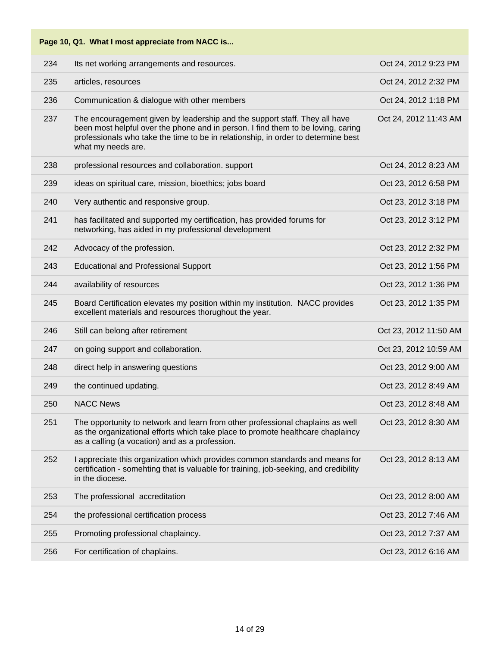| 234 | Its net working arrangements and resources.                                                                                                                                                                                                                               | Oct 24, 2012 9:23 PM  |
|-----|---------------------------------------------------------------------------------------------------------------------------------------------------------------------------------------------------------------------------------------------------------------------------|-----------------------|
| 235 | articles, resources                                                                                                                                                                                                                                                       | Oct 24, 2012 2:32 PM  |
| 236 | Communication & dialogue with other members                                                                                                                                                                                                                               | Oct 24, 2012 1:18 PM  |
| 237 | The encouragement given by leadership and the support staff. They all have<br>been most helpful over the phone and in person. I find them to be loving, caring<br>professionals who take the time to be in relationship, in order to determine best<br>what my needs are. | Oct 24, 2012 11:43 AM |
| 238 | professional resources and collaboration. support                                                                                                                                                                                                                         | Oct 24, 2012 8:23 AM  |
| 239 | ideas on spiritual care, mission, bioethics; jobs board                                                                                                                                                                                                                   | Oct 23, 2012 6:58 PM  |
| 240 | Very authentic and responsive group.                                                                                                                                                                                                                                      | Oct 23, 2012 3:18 PM  |
| 241 | has facilitated and supported my certification, has provided forums for<br>networking, has aided in my professional development                                                                                                                                           | Oct 23, 2012 3:12 PM  |
| 242 | Advocacy of the profession.                                                                                                                                                                                                                                               | Oct 23, 2012 2:32 PM  |
| 243 | <b>Educational and Professional Support</b>                                                                                                                                                                                                                               | Oct 23, 2012 1:56 PM  |
| 244 | availability of resources                                                                                                                                                                                                                                                 | Oct 23, 2012 1:36 PM  |
| 245 | Board Certification elevates my position within my institution. NACC provides<br>excellent materials and resources thorughout the year.                                                                                                                                   | Oct 23, 2012 1:35 PM  |
| 246 | Still can belong after retirement                                                                                                                                                                                                                                         | Oct 23, 2012 11:50 AM |
| 247 | on going support and collaboration.                                                                                                                                                                                                                                       | Oct 23, 2012 10:59 AM |
| 248 | direct help in answering questions                                                                                                                                                                                                                                        | Oct 23, 2012 9:00 AM  |
| 249 | the continued updating.                                                                                                                                                                                                                                                   | Oct 23, 2012 8:49 AM  |
| 250 | <b>NACC News</b>                                                                                                                                                                                                                                                          | Oct 23, 2012 8:48 AM  |
| 251 | The opportunity to network and learn from other professional chaplains as well<br>as the organizational efforts which take place to promote healthcare chaplaincy<br>as a calling (a vocation) and as a profession.                                                       | Oct 23, 2012 8:30 AM  |
| 252 | I appreciate this organization whixh provides common standards and means for<br>certification - somehting that is valuable for training, job-seeking, and credibility<br>in the diocese.                                                                                  | Oct 23, 2012 8:13 AM  |
| 253 | The professional accreditation                                                                                                                                                                                                                                            | Oct 23, 2012 8:00 AM  |
| 254 | the professional certification process                                                                                                                                                                                                                                    | Oct 23, 2012 7:46 AM  |
| 255 | Promoting professional chaplaincy.                                                                                                                                                                                                                                        | Oct 23, 2012 7:37 AM  |
| 256 | For certification of chaplains.                                                                                                                                                                                                                                           | Oct 23, 2012 6:16 AM  |
|     |                                                                                                                                                                                                                                                                           |                       |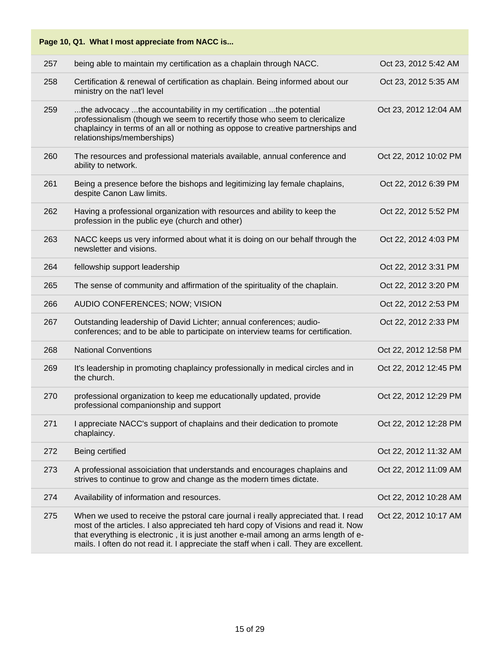|     | Page 10, Q1. What I most appreciate from NACC is                                                                                                                                                                                                                                                                                                          |                       |
|-----|-----------------------------------------------------------------------------------------------------------------------------------------------------------------------------------------------------------------------------------------------------------------------------------------------------------------------------------------------------------|-----------------------|
| 257 | being able to maintain my certification as a chaplain through NACC.                                                                                                                                                                                                                                                                                       | Oct 23, 2012 5:42 AM  |
| 258 | Certification & renewal of certification as chaplain. Being informed about our<br>ministry on the nat'l level                                                                                                                                                                                                                                             | Oct 23, 2012 5:35 AM  |
| 259 | the advocacy the accountability in my certification the potential<br>professionalism (though we seem to recertify those who seem to clericalize<br>chaplaincy in terms of an all or nothing as oppose to creative partnerships and<br>relationships/memberships)                                                                                          | Oct 23, 2012 12:04 AM |
| 260 | The resources and professional materials available, annual conference and<br>ability to network.                                                                                                                                                                                                                                                          | Oct 22, 2012 10:02 PM |
| 261 | Being a presence before the bishops and legitimizing lay female chaplains,<br>despite Canon Law limits.                                                                                                                                                                                                                                                   | Oct 22, 2012 6:39 PM  |
| 262 | Having a professional organization with resources and ability to keep the<br>profession in the public eye (church and other)                                                                                                                                                                                                                              | Oct 22, 2012 5:52 PM  |
| 263 | NACC keeps us very informed about what it is doing on our behalf through the<br>newsletter and visions.                                                                                                                                                                                                                                                   | Oct 22, 2012 4:03 PM  |
| 264 | fellowship support leadership                                                                                                                                                                                                                                                                                                                             | Oct 22, 2012 3:31 PM  |
| 265 | The sense of community and affirmation of the spirituality of the chaplain.                                                                                                                                                                                                                                                                               | Oct 22, 2012 3:20 PM  |
| 266 | AUDIO CONFERENCES; NOW; VISION                                                                                                                                                                                                                                                                                                                            | Oct 22, 2012 2:53 PM  |
| 267 | Outstanding leadership of David Lichter; annual conferences; audio-<br>conferences; and to be able to participate on interview teams for certification.                                                                                                                                                                                                   | Oct 22, 2012 2:33 PM  |
| 268 | <b>National Conventions</b>                                                                                                                                                                                                                                                                                                                               | Oct 22, 2012 12:58 PM |
| 269 | It's leadership in promoting chaplaincy professionally in medical circles and in<br>the church.                                                                                                                                                                                                                                                           | Oct 22, 2012 12:45 PM |
| 270 | professional organization to keep me educationally updated, provide<br>professional companionship and support                                                                                                                                                                                                                                             | Oct 22, 2012 12:29 PM |
| 271 | I appreciate NACC's support of chaplains and their dedication to promote<br>chaplaincy.                                                                                                                                                                                                                                                                   | Oct 22, 2012 12:28 PM |
| 272 | Being certified                                                                                                                                                                                                                                                                                                                                           | Oct 22, 2012 11:32 AM |
| 273 | A professional assoiciation that understands and encourages chaplains and<br>strives to continue to grow and change as the modern times dictate.                                                                                                                                                                                                          | Oct 22, 2012 11:09 AM |
| 274 | Availability of information and resources.                                                                                                                                                                                                                                                                                                                | Oct 22, 2012 10:28 AM |
| 275 | When we used to receive the pstoral care journal i really appreciated that. I read<br>most of the articles. I also appreciated teh hard copy of Visions and read it. Now<br>that everything is electronic, it is just another e-mail among an arms length of e-<br>mails. I often do not read it. I appreciate the staff when i call. They are excellent. | Oct 22, 2012 10:17 AM |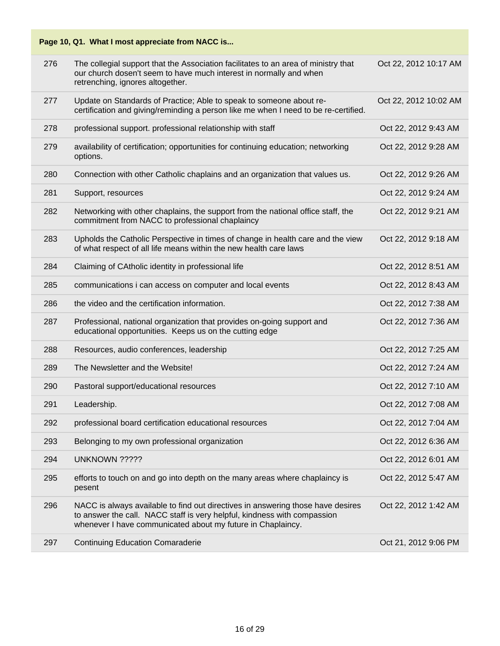| 276<br>The collegial support that the Association facilitates to an area of ministry that<br>Oct 22, 2012 10:17 AM<br>our church dosen't seem to have much interest in normally and when<br>retrenching, ignores altogether.<br>277<br>Update on Standards of Practice; Able to speak to someone about re-<br>Oct 22, 2012 10:02 AM<br>certification and giving/reminding a person like me when I need to be re-certified.<br>278<br>professional support. professional relationship with staff<br>Oct 22, 2012 9:43 AM<br>availability of certification; opportunities for continuing education; networking<br>279<br>Oct 22, 2012 9:28 AM<br>options.<br>280<br>Connection with other Catholic chaplains and an organization that values us.<br>Oct 22, 2012 9:26 AM<br>281<br>Oct 22, 2012 9:24 AM<br>Support, resources<br>282<br>Networking with other chaplains, the support from the national office staff, the<br>Oct 22, 2012 9:21 AM<br>commitment from NACC to professional chaplaincy<br>Upholds the Catholic Perspective in times of change in health care and the view<br>283<br>Oct 22, 2012 9:18 AM<br>of what respect of all life means within the new health care laws<br>284<br>Claiming of CAtholic identity in professional life<br>Oct 22, 2012 8:51 AM<br>285<br>communications i can access on computer and local events<br>Oct 22, 2012 8:43 AM<br>the video and the certification information.<br>286<br>Oct 22, 2012 7:38 AM<br>287<br>Professional, national organization that provides on-going support and<br>Oct 22, 2012 7:36 AM<br>educational opportunities. Keeps us on the cutting edge<br>288<br>Resources, audio conferences, leadership<br>Oct 22, 2012 7:25 AM<br>289<br>The Newsletter and the Website!<br>Oct 22, 2012 7:24 AM<br>290<br>Pastoral support/educational resources<br>Oct 22, 2012 7:10 AM<br>Leadership.<br>Oct 22, 2012 7:08 AM<br>291 |  |
|-------------------------------------------------------------------------------------------------------------------------------------------------------------------------------------------------------------------------------------------------------------------------------------------------------------------------------------------------------------------------------------------------------------------------------------------------------------------------------------------------------------------------------------------------------------------------------------------------------------------------------------------------------------------------------------------------------------------------------------------------------------------------------------------------------------------------------------------------------------------------------------------------------------------------------------------------------------------------------------------------------------------------------------------------------------------------------------------------------------------------------------------------------------------------------------------------------------------------------------------------------------------------------------------------------------------------------------------------------------------------------------------------------------------------------------------------------------------------------------------------------------------------------------------------------------------------------------------------------------------------------------------------------------------------------------------------------------------------------------------------------------------------------------------------------------------------------------------------------------------------------------------------|--|
|                                                                                                                                                                                                                                                                                                                                                                                                                                                                                                                                                                                                                                                                                                                                                                                                                                                                                                                                                                                                                                                                                                                                                                                                                                                                                                                                                                                                                                                                                                                                                                                                                                                                                                                                                                                                                                                                                                 |  |
|                                                                                                                                                                                                                                                                                                                                                                                                                                                                                                                                                                                                                                                                                                                                                                                                                                                                                                                                                                                                                                                                                                                                                                                                                                                                                                                                                                                                                                                                                                                                                                                                                                                                                                                                                                                                                                                                                                 |  |
|                                                                                                                                                                                                                                                                                                                                                                                                                                                                                                                                                                                                                                                                                                                                                                                                                                                                                                                                                                                                                                                                                                                                                                                                                                                                                                                                                                                                                                                                                                                                                                                                                                                                                                                                                                                                                                                                                                 |  |
|                                                                                                                                                                                                                                                                                                                                                                                                                                                                                                                                                                                                                                                                                                                                                                                                                                                                                                                                                                                                                                                                                                                                                                                                                                                                                                                                                                                                                                                                                                                                                                                                                                                                                                                                                                                                                                                                                                 |  |
|                                                                                                                                                                                                                                                                                                                                                                                                                                                                                                                                                                                                                                                                                                                                                                                                                                                                                                                                                                                                                                                                                                                                                                                                                                                                                                                                                                                                                                                                                                                                                                                                                                                                                                                                                                                                                                                                                                 |  |
|                                                                                                                                                                                                                                                                                                                                                                                                                                                                                                                                                                                                                                                                                                                                                                                                                                                                                                                                                                                                                                                                                                                                                                                                                                                                                                                                                                                                                                                                                                                                                                                                                                                                                                                                                                                                                                                                                                 |  |
|                                                                                                                                                                                                                                                                                                                                                                                                                                                                                                                                                                                                                                                                                                                                                                                                                                                                                                                                                                                                                                                                                                                                                                                                                                                                                                                                                                                                                                                                                                                                                                                                                                                                                                                                                                                                                                                                                                 |  |
|                                                                                                                                                                                                                                                                                                                                                                                                                                                                                                                                                                                                                                                                                                                                                                                                                                                                                                                                                                                                                                                                                                                                                                                                                                                                                                                                                                                                                                                                                                                                                                                                                                                                                                                                                                                                                                                                                                 |  |
|                                                                                                                                                                                                                                                                                                                                                                                                                                                                                                                                                                                                                                                                                                                                                                                                                                                                                                                                                                                                                                                                                                                                                                                                                                                                                                                                                                                                                                                                                                                                                                                                                                                                                                                                                                                                                                                                                                 |  |
|                                                                                                                                                                                                                                                                                                                                                                                                                                                                                                                                                                                                                                                                                                                                                                                                                                                                                                                                                                                                                                                                                                                                                                                                                                                                                                                                                                                                                                                                                                                                                                                                                                                                                                                                                                                                                                                                                                 |  |
|                                                                                                                                                                                                                                                                                                                                                                                                                                                                                                                                                                                                                                                                                                                                                                                                                                                                                                                                                                                                                                                                                                                                                                                                                                                                                                                                                                                                                                                                                                                                                                                                                                                                                                                                                                                                                                                                                                 |  |
|                                                                                                                                                                                                                                                                                                                                                                                                                                                                                                                                                                                                                                                                                                                                                                                                                                                                                                                                                                                                                                                                                                                                                                                                                                                                                                                                                                                                                                                                                                                                                                                                                                                                                                                                                                                                                                                                                                 |  |
|                                                                                                                                                                                                                                                                                                                                                                                                                                                                                                                                                                                                                                                                                                                                                                                                                                                                                                                                                                                                                                                                                                                                                                                                                                                                                                                                                                                                                                                                                                                                                                                                                                                                                                                                                                                                                                                                                                 |  |
|                                                                                                                                                                                                                                                                                                                                                                                                                                                                                                                                                                                                                                                                                                                                                                                                                                                                                                                                                                                                                                                                                                                                                                                                                                                                                                                                                                                                                                                                                                                                                                                                                                                                                                                                                                                                                                                                                                 |  |
|                                                                                                                                                                                                                                                                                                                                                                                                                                                                                                                                                                                                                                                                                                                                                                                                                                                                                                                                                                                                                                                                                                                                                                                                                                                                                                                                                                                                                                                                                                                                                                                                                                                                                                                                                                                                                                                                                                 |  |
|                                                                                                                                                                                                                                                                                                                                                                                                                                                                                                                                                                                                                                                                                                                                                                                                                                                                                                                                                                                                                                                                                                                                                                                                                                                                                                                                                                                                                                                                                                                                                                                                                                                                                                                                                                                                                                                                                                 |  |
| 292<br>professional board certification educational resources<br>Oct 22, 2012 7:04 AM                                                                                                                                                                                                                                                                                                                                                                                                                                                                                                                                                                                                                                                                                                                                                                                                                                                                                                                                                                                                                                                                                                                                                                                                                                                                                                                                                                                                                                                                                                                                                                                                                                                                                                                                                                                                           |  |
| 293<br>Belonging to my own professional organization<br>Oct 22, 2012 6:36 AM                                                                                                                                                                                                                                                                                                                                                                                                                                                                                                                                                                                                                                                                                                                                                                                                                                                                                                                                                                                                                                                                                                                                                                                                                                                                                                                                                                                                                                                                                                                                                                                                                                                                                                                                                                                                                    |  |
| 294<br>UNKNOWN ?????<br>Oct 22, 2012 6:01 AM                                                                                                                                                                                                                                                                                                                                                                                                                                                                                                                                                                                                                                                                                                                                                                                                                                                                                                                                                                                                                                                                                                                                                                                                                                                                                                                                                                                                                                                                                                                                                                                                                                                                                                                                                                                                                                                    |  |
| 295<br>efforts to touch on and go into depth on the many areas where chaplaincy is<br>Oct 22, 2012 5:47 AM<br>pesent                                                                                                                                                                                                                                                                                                                                                                                                                                                                                                                                                                                                                                                                                                                                                                                                                                                                                                                                                                                                                                                                                                                                                                                                                                                                                                                                                                                                                                                                                                                                                                                                                                                                                                                                                                            |  |
| 296<br>NACC is always available to find out directives in answering those have desires<br>Oct 22, 2012 1:42 AM<br>to answer the call. NACC staff is very helpful, kindness with compassion<br>whenever I have communicated about my future in Chaplaincy.                                                                                                                                                                                                                                                                                                                                                                                                                                                                                                                                                                                                                                                                                                                                                                                                                                                                                                                                                                                                                                                                                                                                                                                                                                                                                                                                                                                                                                                                                                                                                                                                                                       |  |
| 297<br><b>Continuing Education Comaraderie</b><br>Oct 21, 2012 9:06 PM                                                                                                                                                                                                                                                                                                                                                                                                                                                                                                                                                                                                                                                                                                                                                                                                                                                                                                                                                                                                                                                                                                                                                                                                                                                                                                                                                                                                                                                                                                                                                                                                                                                                                                                                                                                                                          |  |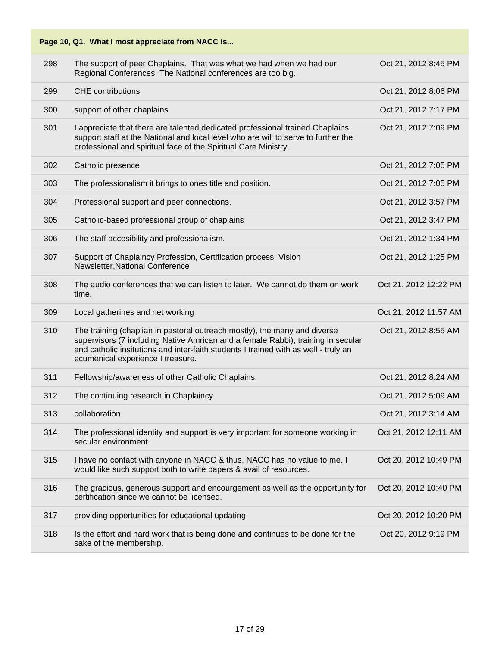|     | Page 10, Q1. What I most appreciate from NACC is                                                                                                                                                                                                                                          |                       |
|-----|-------------------------------------------------------------------------------------------------------------------------------------------------------------------------------------------------------------------------------------------------------------------------------------------|-----------------------|
| 298 | The support of peer Chaplains. That was what we had when we had our<br>Regional Conferences. The National conferences are too big.                                                                                                                                                        | Oct 21, 2012 8:45 PM  |
| 299 | <b>CHE</b> contributions                                                                                                                                                                                                                                                                  | Oct 21, 2012 8:06 PM  |
| 300 | support of other chaplains                                                                                                                                                                                                                                                                | Oct 21, 2012 7:17 PM  |
| 301 | I appreciate that there are talented, dedicated professional trained Chaplains,<br>support staff at the National and local level who are will to serve to further the<br>professional and spiritual face of the Spiritual Care Ministry.                                                  | Oct 21, 2012 7:09 PM  |
| 302 | Catholic presence                                                                                                                                                                                                                                                                         | Oct 21, 2012 7:05 PM  |
| 303 | The professionalism it brings to ones title and position.                                                                                                                                                                                                                                 | Oct 21, 2012 7:05 PM  |
| 304 | Professional support and peer connections.                                                                                                                                                                                                                                                | Oct 21, 2012 3:57 PM  |
| 305 | Catholic-based professional group of chaplains                                                                                                                                                                                                                                            | Oct 21, 2012 3:47 PM  |
| 306 | The staff accesibility and professionalism.                                                                                                                                                                                                                                               | Oct 21, 2012 1:34 PM  |
| 307 | Support of Chaplaincy Profession, Certification process, Vision<br>Newsletter, National Conference                                                                                                                                                                                        | Oct 21, 2012 1:25 PM  |
| 308 | The audio conferences that we can listen to later. We cannot do them on work<br>time.                                                                                                                                                                                                     | Oct 21, 2012 12:22 PM |
| 309 | Local gatherines and net working                                                                                                                                                                                                                                                          | Oct 21, 2012 11:57 AM |
| 310 | The training (chaplian in pastoral outreach mostly), the many and diverse<br>supervisors (7 including Native Amrican and a female Rabbi), training in secular<br>and catholic insitutions and inter-faith students I trained with as well - truly an<br>ecumenical experience I treasure. | Oct 21, 2012 8:55 AM  |
| 311 | Fellowship/awareness of other Catholic Chaplains.                                                                                                                                                                                                                                         | Oct 21, 2012 8:24 AM  |
| 312 | The continuing research in Chaplaincy                                                                                                                                                                                                                                                     | Oct 21, 2012 5:09 AM  |
| 313 | collaboration                                                                                                                                                                                                                                                                             | Oct 21, 2012 3:14 AM  |
| 314 | The professional identity and support is very important for someone working in<br>secular environment.                                                                                                                                                                                    | Oct 21, 2012 12:11 AM |
| 315 | I have no contact with anyone in NACC & thus, NACC has no value to me. I<br>would like such support both to write papers & avail of resources.                                                                                                                                            | Oct 20, 2012 10:49 PM |
| 316 | The gracious, generous support and encourgement as well as the opportunity for<br>certification since we cannot be licensed.                                                                                                                                                              | Oct 20, 2012 10:40 PM |
| 317 | providing opportunities for educational updating                                                                                                                                                                                                                                          | Oct 20, 2012 10:20 PM |
| 318 | Is the effort and hard work that is being done and continues to be done for the<br>sake of the membership.                                                                                                                                                                                | Oct 20, 2012 9:19 PM  |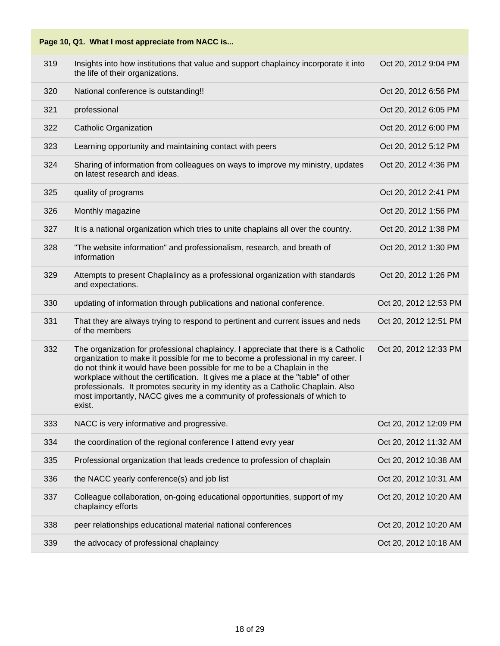

| 319 | Insights into how institutions that value and support chaplaincy incorporate it into<br>the life of their organizations.                                                                                                                                                                                                                                                                                                                                                                                        | Oct 20, 2012 9:04 PM  |
|-----|-----------------------------------------------------------------------------------------------------------------------------------------------------------------------------------------------------------------------------------------------------------------------------------------------------------------------------------------------------------------------------------------------------------------------------------------------------------------------------------------------------------------|-----------------------|
| 320 | National conference is outstanding!!                                                                                                                                                                                                                                                                                                                                                                                                                                                                            | Oct 20, 2012 6:56 PM  |
| 321 | professional                                                                                                                                                                                                                                                                                                                                                                                                                                                                                                    | Oct 20, 2012 6:05 PM  |
| 322 | <b>Catholic Organization</b>                                                                                                                                                                                                                                                                                                                                                                                                                                                                                    | Oct 20, 2012 6:00 PM  |
| 323 | Learning opportunity and maintaining contact with peers                                                                                                                                                                                                                                                                                                                                                                                                                                                         | Oct 20, 2012 5:12 PM  |
| 324 | Sharing of information from colleagues on ways to improve my ministry, updates<br>on latest research and ideas.                                                                                                                                                                                                                                                                                                                                                                                                 | Oct 20, 2012 4:36 PM  |
| 325 | quality of programs                                                                                                                                                                                                                                                                                                                                                                                                                                                                                             | Oct 20, 2012 2:41 PM  |
| 326 | Monthly magazine                                                                                                                                                                                                                                                                                                                                                                                                                                                                                                | Oct 20, 2012 1:56 PM  |
| 327 | It is a national organization which tries to unite chaplains all over the country.                                                                                                                                                                                                                                                                                                                                                                                                                              | Oct 20, 2012 1:38 PM  |
| 328 | "The website information" and professionalism, research, and breath of<br>information                                                                                                                                                                                                                                                                                                                                                                                                                           | Oct 20, 2012 1:30 PM  |
| 329 | Attempts to present Chaplalincy as a professional organization with standards<br>and expectations.                                                                                                                                                                                                                                                                                                                                                                                                              | Oct 20, 2012 1:26 PM  |
| 330 | updating of information through publications and national conference.                                                                                                                                                                                                                                                                                                                                                                                                                                           | Oct 20, 2012 12:53 PM |
| 331 | That they are always trying to respond to pertinent and current issues and neds<br>of the members                                                                                                                                                                                                                                                                                                                                                                                                               | Oct 20, 2012 12:51 PM |
| 332 | The organization for professional chaplaincy. I appreciate that there is a Catholic<br>organization to make it possible for me to become a professional in my career. I<br>do not think it would have been possible for me to be a Chaplain in the<br>workplace without the certification. It gives me a place at the "table" of other<br>professionals. It promotes security in my identity as a Catholic Chaplain. Also<br>most importantly, NACC gives me a community of professionals of which to<br>exist. | Oct 20, 2012 12:33 PM |
| 333 | NACC is very informative and progressive.                                                                                                                                                                                                                                                                                                                                                                                                                                                                       | Oct 20, 2012 12:09 PM |
| 334 | the coordination of the regional conference I attend evry year                                                                                                                                                                                                                                                                                                                                                                                                                                                  | Oct 20, 2012 11:32 AM |
| 335 | Professional organization that leads credence to profession of chaplain                                                                                                                                                                                                                                                                                                                                                                                                                                         | Oct 20, 2012 10:38 AM |
| 336 | the NACC yearly conference(s) and job list                                                                                                                                                                                                                                                                                                                                                                                                                                                                      | Oct 20, 2012 10:31 AM |
| 337 | Colleague collaboration, on-going educational opportunities, support of my<br>chaplaincy efforts                                                                                                                                                                                                                                                                                                                                                                                                                | Oct 20, 2012 10:20 AM |
| 338 | peer relationships educational material national conferences                                                                                                                                                                                                                                                                                                                                                                                                                                                    | Oct 20, 2012 10:20 AM |
| 339 | the advocacy of professional chaplaincy                                                                                                                                                                                                                                                                                                                                                                                                                                                                         | Oct 20, 2012 10:18 AM |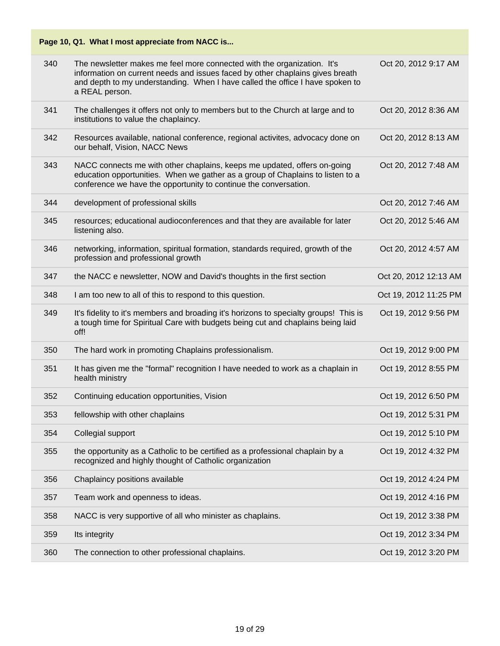|     | Page 10, Q1. What I most appreciate from NACC is                                                                                                                                                                                                            |                       |
|-----|-------------------------------------------------------------------------------------------------------------------------------------------------------------------------------------------------------------------------------------------------------------|-----------------------|
| 340 | The newsletter makes me feel more connected with the organization. It's<br>information on current needs and issues faced by other chaplains gives breath<br>and depth to my understanding. When I have called the office I have spoken to<br>a REAL person. | Oct 20, 2012 9:17 AM  |
| 341 | The challenges it offers not only to members but to the Church at large and to<br>institutions to value the chaplaincy.                                                                                                                                     | Oct 20, 2012 8:36 AM  |
| 342 | Resources available, national conference, regional activites, advocacy done on<br>our behalf, Vision, NACC News                                                                                                                                             | Oct 20, 2012 8:13 AM  |
| 343 | NACC connects me with other chaplains, keeps me updated, offers on-going<br>education opportunities. When we gather as a group of Chaplains to listen to a<br>conference we have the opportunity to continue the conversation.                              | Oct 20, 2012 7:48 AM  |
| 344 | development of professional skills                                                                                                                                                                                                                          | Oct 20, 2012 7:46 AM  |
| 345 | resources; educational audioconferences and that they are available for later<br>listening also.                                                                                                                                                            | Oct 20, 2012 5:46 AM  |
| 346 | networking, information, spiritual formation, standards required, growth of the<br>profession and professional growth                                                                                                                                       | Oct 20, 2012 4:57 AM  |
| 347 | the NACC e newsletter, NOW and David's thoughts in the first section                                                                                                                                                                                        | Oct 20, 2012 12:13 AM |
| 348 | I am too new to all of this to respond to this question.                                                                                                                                                                                                    | Oct 19, 2012 11:25 PM |
| 349 | It's fidelity to it's members and broading it's horizons to specialty groups! This is<br>a tough time for Spiritual Care with budgets being cut and chaplains being laid<br>off!                                                                            | Oct 19, 2012 9:56 PM  |
| 350 | The hard work in promoting Chaplains professionalism.                                                                                                                                                                                                       | Oct 19, 2012 9:00 PM  |
| 351 | It has given me the "formal" recognition I have needed to work as a chaplain in<br>health ministry                                                                                                                                                          | Oct 19, 2012 8:55 PM  |
| 352 | Continuing education opportunities, Vision                                                                                                                                                                                                                  | Oct 19, 2012 6:50 PM  |
| 353 | fellowship with other chaplains                                                                                                                                                                                                                             | Oct 19, 2012 5:31 PM  |
| 354 | Collegial support                                                                                                                                                                                                                                           | Oct 19, 2012 5:10 PM  |
| 355 | the opportunity as a Catholic to be certified as a professional chaplain by a<br>recognized and highly thought of Catholic organization                                                                                                                     | Oct 19, 2012 4:32 PM  |
| 356 | Chaplaincy positions available                                                                                                                                                                                                                              | Oct 19, 2012 4:24 PM  |
| 357 | Team work and openness to ideas.                                                                                                                                                                                                                            | Oct 19, 2012 4:16 PM  |
| 358 | NACC is very supportive of all who minister as chaplains.                                                                                                                                                                                                   | Oct 19, 2012 3:38 PM  |
| 359 | Its integrity                                                                                                                                                                                                                                               | Oct 19, 2012 3:34 PM  |
| 360 | The connection to other professional chaplains.                                                                                                                                                                                                             | Oct 19, 2012 3:20 PM  |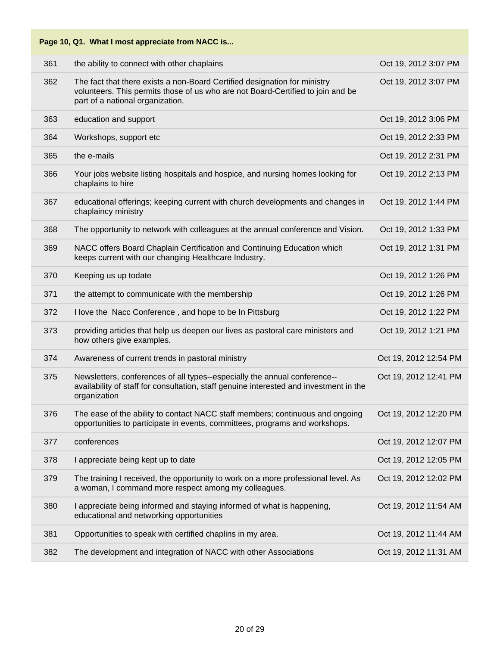|     | Page 10, Q1. What I most appreciate from NACC is                                                                                                                                                 |                       |
|-----|--------------------------------------------------------------------------------------------------------------------------------------------------------------------------------------------------|-----------------------|
| 361 | the ability to connect with other chaplains                                                                                                                                                      | Oct 19, 2012 3:07 PM  |
| 362 | The fact that there exists a non-Board Certified designation for ministry<br>volunteers. This permits those of us who are not Board-Certified to join and be<br>part of a national organization. | Oct 19, 2012 3:07 PM  |
| 363 | education and support                                                                                                                                                                            | Oct 19, 2012 3:06 PM  |
| 364 | Workshops, support etc                                                                                                                                                                           | Oct 19, 2012 2:33 PM  |
| 365 | the e-mails                                                                                                                                                                                      | Oct 19, 2012 2:31 PM  |
| 366 | Your jobs website listing hospitals and hospice, and nursing homes looking for<br>chaplains to hire                                                                                              | Oct 19, 2012 2:13 PM  |
| 367 | educational offerings; keeping current with church developments and changes in<br>chaplaincy ministry                                                                                            | Oct 19, 2012 1:44 PM  |
| 368 | The opportunity to network with colleagues at the annual conference and Vision.                                                                                                                  | Oct 19, 2012 1:33 PM  |
| 369 | NACC offers Board Chaplain Certification and Continuing Education which<br>keeps current with our changing Healthcare Industry.                                                                  | Oct 19, 2012 1:31 PM  |
| 370 | Keeping us up todate                                                                                                                                                                             | Oct 19, 2012 1:26 PM  |
| 371 | the attempt to communicate with the membership                                                                                                                                                   | Oct 19, 2012 1:26 PM  |
| 372 | I love the Nacc Conference, and hope to be In Pittsburg                                                                                                                                          | Oct 19, 2012 1:22 PM  |
| 373 | providing articles that help us deepen our lives as pastoral care ministers and<br>how others give examples.                                                                                     | Oct 19, 2012 1:21 PM  |
| 374 | Awareness of current trends in pastoral ministry                                                                                                                                                 | Oct 19, 2012 12:54 PM |
| 375 | Newsletters, conferences of all types--especially the annual conference--<br>availability of staff for consultation, staff genuine interested and investment in the<br>organization              | Oct 19, 2012 12:41 PM |
| 376 | The ease of the ability to contact NACC staff members; continuous and ongoing<br>opportunities to participate in events, committees, programs and workshops.                                     | Oct 19, 2012 12:20 PM |
| 377 | conferences                                                                                                                                                                                      | Oct 19, 2012 12:07 PM |
| 378 | I appreciate being kept up to date                                                                                                                                                               | Oct 19, 2012 12:05 PM |
| 379 | The training I received, the opportunity to work on a more professional level. As<br>a woman, I command more respect among my colleagues.                                                        | Oct 19, 2012 12:02 PM |
| 380 | I appreciate being informed and staying informed of what is happening,<br>educational and networking opportunities                                                                               | Oct 19, 2012 11:54 AM |
| 381 | Opportunities to speak with certified chaplins in my area.                                                                                                                                       | Oct 19, 2012 11:44 AM |
| 382 | The development and integration of NACC with other Associations                                                                                                                                  | Oct 19, 2012 11:31 AM |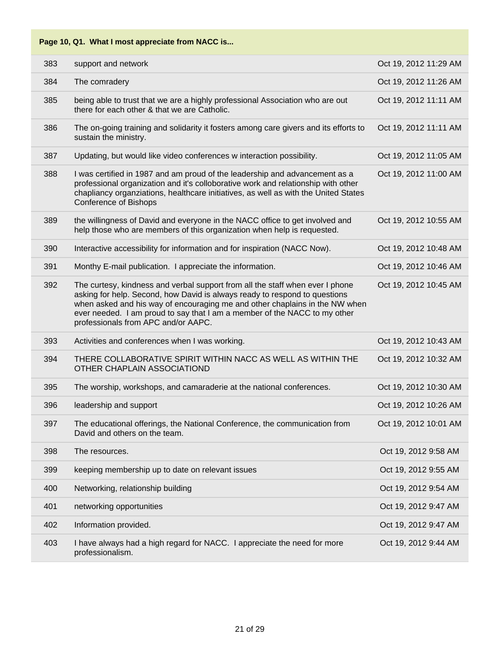| 383 | support and network                                                                                                                                                                                                                                                                                                                                            | Oct 19, 2012 11:29 AM |
|-----|----------------------------------------------------------------------------------------------------------------------------------------------------------------------------------------------------------------------------------------------------------------------------------------------------------------------------------------------------------------|-----------------------|
| 384 | The comradery                                                                                                                                                                                                                                                                                                                                                  | Oct 19, 2012 11:26 AM |
| 385 | being able to trust that we are a highly professional Association who are out<br>there for each other & that we are Catholic.                                                                                                                                                                                                                                  | Oct 19, 2012 11:11 AM |
| 386 | The on-going training and solidarity it fosters among care givers and its efforts to<br>sustain the ministry.                                                                                                                                                                                                                                                  | Oct 19, 2012 11:11 AM |
| 387 | Updating, but would like video conferences w interaction possibility.                                                                                                                                                                                                                                                                                          | Oct 19, 2012 11:05 AM |
| 388 | I was certified in 1987 and am proud of the leadership and advancement as a<br>professional organization and it's colloborative work and relationship with other<br>chapliancy organziations, healthcare initiatives, as well as with the United States<br><b>Conference of Bishops</b>                                                                        | Oct 19, 2012 11:00 AM |
| 389 | the willingness of David and everyone in the NACC office to get involved and<br>help those who are members of this organization when help is requested.                                                                                                                                                                                                        | Oct 19, 2012 10:55 AM |
| 390 | Interactive accessibility for information and for inspiration (NACC Now).                                                                                                                                                                                                                                                                                      | Oct 19, 2012 10:48 AM |
| 391 | Monthy E-mail publication. I appreciate the information.                                                                                                                                                                                                                                                                                                       | Oct 19, 2012 10:46 AM |
| 392 | The curtesy, kindness and verbal support from all the staff when ever I phone<br>asking for help. Second, how David is always ready to respond to questions<br>when asked and his way of encouraging me and other chaplains in the NW when<br>ever needed. I am proud to say that I am a member of the NACC to my other<br>professionals from APC and/or AAPC. | Oct 19, 2012 10:45 AM |
| 393 | Activities and conferences when I was working.                                                                                                                                                                                                                                                                                                                 | Oct 19, 2012 10:43 AM |
| 394 | THERE COLLABORATIVE SPIRIT WITHIN NACC AS WELL AS WITHIN THE<br>OTHER CHAPLAIN ASSOCIATIOND                                                                                                                                                                                                                                                                    | Oct 19, 2012 10:32 AM |
| 395 | The worship, workshops, and camaraderie at the national conferences.                                                                                                                                                                                                                                                                                           | Oct 19, 2012 10:30 AM |
| 396 | leadership and support                                                                                                                                                                                                                                                                                                                                         | Oct 19, 2012 10:26 AM |
| 397 | The educational offerings, the National Conference, the communication from<br>David and others on the team.                                                                                                                                                                                                                                                    | Oct 19, 2012 10:01 AM |
| 398 | The resources.                                                                                                                                                                                                                                                                                                                                                 | Oct 19, 2012 9:58 AM  |
| 399 | keeping membership up to date on relevant issues                                                                                                                                                                                                                                                                                                               | Oct 19, 2012 9:55 AM  |
| 400 | Networking, relationship building                                                                                                                                                                                                                                                                                                                              | Oct 19, 2012 9:54 AM  |
| 401 | networking opportunities                                                                                                                                                                                                                                                                                                                                       | Oct 19, 2012 9:47 AM  |
| 402 | Information provided.                                                                                                                                                                                                                                                                                                                                          | Oct 19, 2012 9:47 AM  |
| 403 | I have always had a high regard for NACC. I appreciate the need for more                                                                                                                                                                                                                                                                                       | Oct 19, 2012 9:44 AM  |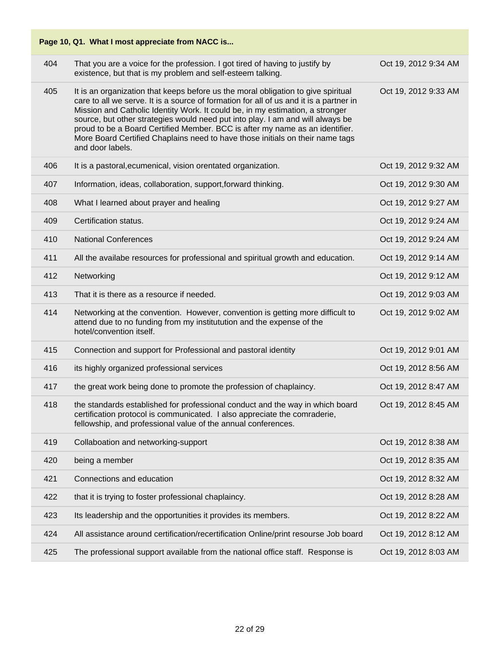| Page 10, Q1. What I most appreciate from NACC is |                                                                                                                                                                                                                                                                                                                                                                                                                                                                                                                                     |                      |  |
|--------------------------------------------------|-------------------------------------------------------------------------------------------------------------------------------------------------------------------------------------------------------------------------------------------------------------------------------------------------------------------------------------------------------------------------------------------------------------------------------------------------------------------------------------------------------------------------------------|----------------------|--|
| 404                                              | That you are a voice for the profession. I got tired of having to justify by<br>existence, but that is my problem and self-esteem talking.                                                                                                                                                                                                                                                                                                                                                                                          | Oct 19, 2012 9:34 AM |  |
| 405                                              | It is an organization that keeps before us the moral obligation to give spiritual<br>care to all we serve. It is a source of formation for all of us and it is a partner in<br>Mission and Catholic Identity Work. It could be, in my estimation, a stronger<br>source, but other strategies would need put into play. I am and will always be<br>proud to be a Board Certified Member. BCC is after my name as an identifier.<br>More Board Certified Chaplains need to have those initials on their name tags<br>and door labels. | Oct 19, 2012 9:33 AM |  |
| 406                                              | It is a pastoral, ecumenical, vision orentated organization.                                                                                                                                                                                                                                                                                                                                                                                                                                                                        | Oct 19, 2012 9:32 AM |  |
| 407                                              | Information, ideas, collaboration, support, forward thinking.                                                                                                                                                                                                                                                                                                                                                                                                                                                                       | Oct 19, 2012 9:30 AM |  |
| 408                                              | What I learned about prayer and healing                                                                                                                                                                                                                                                                                                                                                                                                                                                                                             | Oct 19, 2012 9:27 AM |  |
| 409                                              | Certification status.                                                                                                                                                                                                                                                                                                                                                                                                                                                                                                               | Oct 19, 2012 9:24 AM |  |
| 410                                              | <b>National Conferences</b>                                                                                                                                                                                                                                                                                                                                                                                                                                                                                                         | Oct 19, 2012 9:24 AM |  |
| 411                                              | All the availabe resources for professional and spiritual growth and education.                                                                                                                                                                                                                                                                                                                                                                                                                                                     | Oct 19, 2012 9:14 AM |  |
| 412                                              | Networking                                                                                                                                                                                                                                                                                                                                                                                                                                                                                                                          | Oct 19, 2012 9:12 AM |  |
| 413                                              | That it is there as a resource if needed.                                                                                                                                                                                                                                                                                                                                                                                                                                                                                           | Oct 19, 2012 9:03 AM |  |
| 414                                              | Networking at the convention. However, convention is getting more difficult to<br>attend due to no funding from my institutution and the expense of the<br>hotel/convention itself.                                                                                                                                                                                                                                                                                                                                                 | Oct 19, 2012 9:02 AM |  |
| 415                                              | Connection and support for Professional and pastoral identity                                                                                                                                                                                                                                                                                                                                                                                                                                                                       | Oct 19, 2012 9:01 AM |  |
| 416                                              | its highly organized professional services                                                                                                                                                                                                                                                                                                                                                                                                                                                                                          | Oct 19, 2012 8:56 AM |  |
| 417                                              | the great work being done to promote the profession of chaplaincy.                                                                                                                                                                                                                                                                                                                                                                                                                                                                  | Oct 19, 2012 8:47 AM |  |
| 418                                              | the standards established for professional conduct and the way in which board<br>certification protocol is communicated. I also appreciate the comraderie,<br>fellowship, and professional value of the annual conferences.                                                                                                                                                                                                                                                                                                         | Oct 19, 2012 8:45 AM |  |
| 419                                              | Collaboation and networking-support                                                                                                                                                                                                                                                                                                                                                                                                                                                                                                 | Oct 19, 2012 8:38 AM |  |
| 420                                              | being a member                                                                                                                                                                                                                                                                                                                                                                                                                                                                                                                      | Oct 19, 2012 8:35 AM |  |
| 421                                              | Connections and education                                                                                                                                                                                                                                                                                                                                                                                                                                                                                                           | Oct 19, 2012 8:32 AM |  |
| 422                                              | that it is trying to foster professional chaplaincy.                                                                                                                                                                                                                                                                                                                                                                                                                                                                                | Oct 19, 2012 8:28 AM |  |
| 423                                              | Its leadership and the opportunities it provides its members.                                                                                                                                                                                                                                                                                                                                                                                                                                                                       | Oct 19, 2012 8:22 AM |  |
| 424                                              | All assistance around certification/recertification Online/print resourse Job board                                                                                                                                                                                                                                                                                                                                                                                                                                                 | Oct 19, 2012 8:12 AM |  |
| 425                                              | The professional support available from the national office staff. Response is                                                                                                                                                                                                                                                                                                                                                                                                                                                      | Oct 19, 2012 8:03 AM |  |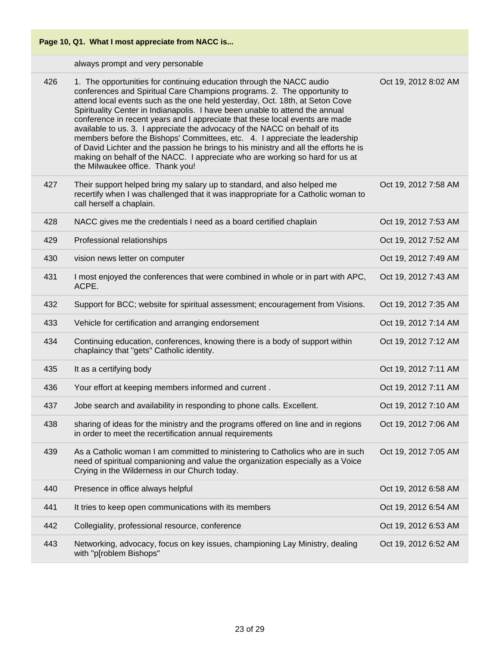

always prompt and very personable

| 426 | 1. The opportunities for continuing education through the NACC audio<br>conferences and Spiritual Care Champions programs. 2. The opportunity to<br>attend local events such as the one held yesterday, Oct. 18th, at Seton Cove<br>Spirituality Center in Indianapolis. I have been unable to attend the annual<br>conference in recent years and I appreciate that these local events are made<br>available to us. 3. I appreciate the advocacy of the NACC on behalf of its<br>members before the Bishops' Committees, etc. 4. I appreciate the leadership<br>of David Lichter and the passion he brings to his ministry and all the efforts he is<br>making on behalf of the NACC. I appreciate who are working so hard for us at<br>the Milwaukee office. Thank you! | Oct 19, 2012 8:02 AM |
|-----|---------------------------------------------------------------------------------------------------------------------------------------------------------------------------------------------------------------------------------------------------------------------------------------------------------------------------------------------------------------------------------------------------------------------------------------------------------------------------------------------------------------------------------------------------------------------------------------------------------------------------------------------------------------------------------------------------------------------------------------------------------------------------|----------------------|
| 427 | Their support helped bring my salary up to standard, and also helped me<br>recertify when I was challenged that it was inappropriate for a Catholic woman to<br>call herself a chaplain.                                                                                                                                                                                                                                                                                                                                                                                                                                                                                                                                                                                  | Oct 19, 2012 7:58 AM |
| 428 | NACC gives me the credentials I need as a board certified chaplain                                                                                                                                                                                                                                                                                                                                                                                                                                                                                                                                                                                                                                                                                                        | Oct 19, 2012 7:53 AM |
| 429 | Professional relationships                                                                                                                                                                                                                                                                                                                                                                                                                                                                                                                                                                                                                                                                                                                                                | Oct 19, 2012 7:52 AM |
| 430 | vision news letter on computer                                                                                                                                                                                                                                                                                                                                                                                                                                                                                                                                                                                                                                                                                                                                            | Oct 19, 2012 7:49 AM |
| 431 | I most enjoyed the conferences that were combined in whole or in part with APC,<br>ACPE.                                                                                                                                                                                                                                                                                                                                                                                                                                                                                                                                                                                                                                                                                  | Oct 19, 2012 7:43 AM |
| 432 | Support for BCC; website for spiritual assessment; encouragement from Visions.                                                                                                                                                                                                                                                                                                                                                                                                                                                                                                                                                                                                                                                                                            | Oct 19, 2012 7:35 AM |
| 433 | Vehicle for certification and arranging endorsement                                                                                                                                                                                                                                                                                                                                                                                                                                                                                                                                                                                                                                                                                                                       | Oct 19, 2012 7:14 AM |
| 434 | Continuing education, conferences, knowing there is a body of support within<br>chaplaincy that "gets" Catholic identity.                                                                                                                                                                                                                                                                                                                                                                                                                                                                                                                                                                                                                                                 | Oct 19, 2012 7:12 AM |
| 435 | It as a certifying body                                                                                                                                                                                                                                                                                                                                                                                                                                                                                                                                                                                                                                                                                                                                                   | Oct 19, 2012 7:11 AM |
| 436 | Your effort at keeping members informed and current.                                                                                                                                                                                                                                                                                                                                                                                                                                                                                                                                                                                                                                                                                                                      | Oct 19, 2012 7:11 AM |
| 437 | Jobe search and availability in responding to phone calls. Excellent.                                                                                                                                                                                                                                                                                                                                                                                                                                                                                                                                                                                                                                                                                                     | Oct 19, 2012 7:10 AM |
| 438 | sharing of ideas for the ministry and the programs offered on line and in regions<br>in order to meet the recertification annual requirements                                                                                                                                                                                                                                                                                                                                                                                                                                                                                                                                                                                                                             | Oct 19, 2012 7:06 AM |
| 439 | As a Catholic woman I am committed to ministering to Catholics who are in such<br>need of spiritual companioning and value the organization especially as a Voice<br>Crying in the Wilderness in our Church today.                                                                                                                                                                                                                                                                                                                                                                                                                                                                                                                                                        | Oct 19, 2012 7:05 AM |
| 440 | Presence in office always helpful                                                                                                                                                                                                                                                                                                                                                                                                                                                                                                                                                                                                                                                                                                                                         | Oct 19, 2012 6:58 AM |
| 441 | It tries to keep open communications with its members                                                                                                                                                                                                                                                                                                                                                                                                                                                                                                                                                                                                                                                                                                                     | Oct 19, 2012 6:54 AM |
| 442 | Collegiality, professional resource, conference                                                                                                                                                                                                                                                                                                                                                                                                                                                                                                                                                                                                                                                                                                                           | Oct 19, 2012 6:53 AM |
| 443 | Networking, advocacy, focus on key issues, championing Lay Ministry, dealing<br>with "p[roblem Bishops"                                                                                                                                                                                                                                                                                                                                                                                                                                                                                                                                                                                                                                                                   | Oct 19, 2012 6:52 AM |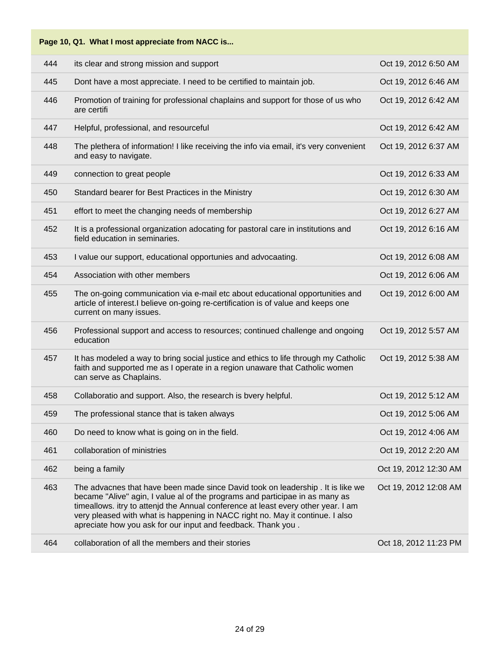| Page 10, Q1. What I most appreciate from NACC is |                                                                                                                                                                                                                                                                                                                                                                                                       |                       |  |
|--------------------------------------------------|-------------------------------------------------------------------------------------------------------------------------------------------------------------------------------------------------------------------------------------------------------------------------------------------------------------------------------------------------------------------------------------------------------|-----------------------|--|
| 444                                              | its clear and strong mission and support                                                                                                                                                                                                                                                                                                                                                              | Oct 19, 2012 6:50 AM  |  |
| 445                                              | Dont have a most appreciate. I need to be certified to maintain job.                                                                                                                                                                                                                                                                                                                                  | Oct 19, 2012 6:46 AM  |  |
| 446                                              | Promotion of training for professional chaplains and support for those of us who<br>are certifi                                                                                                                                                                                                                                                                                                       | Oct 19, 2012 6:42 AM  |  |
| 447                                              | Helpful, professional, and resourceful                                                                                                                                                                                                                                                                                                                                                                | Oct 19, 2012 6:42 AM  |  |
| 448                                              | The plethera of information! I like receiving the info via email, it's very convenient<br>and easy to navigate.                                                                                                                                                                                                                                                                                       | Oct 19, 2012 6:37 AM  |  |
| 449                                              | connection to great people                                                                                                                                                                                                                                                                                                                                                                            | Oct 19, 2012 6:33 AM  |  |
| 450                                              | Standard bearer for Best Practices in the Ministry                                                                                                                                                                                                                                                                                                                                                    | Oct 19, 2012 6:30 AM  |  |
| 451                                              | effort to meet the changing needs of membership                                                                                                                                                                                                                                                                                                                                                       | Oct 19, 2012 6:27 AM  |  |
| 452                                              | It is a professional organization adocating for pastoral care in institutions and<br>field education in seminaries.                                                                                                                                                                                                                                                                                   | Oct 19, 2012 6:16 AM  |  |
| 453                                              | I value our support, educational opportunies and advocaating.                                                                                                                                                                                                                                                                                                                                         | Oct 19, 2012 6:08 AM  |  |
| 454                                              | Association with other members                                                                                                                                                                                                                                                                                                                                                                        | Oct 19, 2012 6:06 AM  |  |
| 455                                              | The on-going communication via e-mail etc about educational opportunities and<br>article of interest.I believe on-going re-certification is of value and keeps one<br>current on many issues.                                                                                                                                                                                                         | Oct 19, 2012 6:00 AM  |  |
| 456                                              | Professional support and access to resources; continued challenge and ongoing<br>education                                                                                                                                                                                                                                                                                                            | Oct 19, 2012 5:57 AM  |  |
| 457                                              | It has modeled a way to bring social justice and ethics to life through my Catholic<br>faith and supported me as I operate in a region unaware that Catholic women<br>can serve as Chaplains.                                                                                                                                                                                                         | Oct 19, 2012 5:38 AM  |  |
| 458                                              | Collaboratio and support. Also, the research is bvery helpful.                                                                                                                                                                                                                                                                                                                                        | Oct 19, 2012 5:12 AM  |  |
| 459                                              | The professional stance that is taken always                                                                                                                                                                                                                                                                                                                                                          | Oct 19, 2012 5:06 AM  |  |
| 460                                              | Do need to know what is going on in the field.                                                                                                                                                                                                                                                                                                                                                        | Oct 19, 2012 4:06 AM  |  |
| 461                                              | collaboration of ministries                                                                                                                                                                                                                                                                                                                                                                           | Oct 19, 2012 2:20 AM  |  |
| 462                                              | being a family                                                                                                                                                                                                                                                                                                                                                                                        | Oct 19, 2012 12:30 AM |  |
| 463                                              | The advacnes that have been made since David took on leadership . It is like we<br>became "Alive" agin, I value al of the programs and participae in as many as<br>timeallows. itry to attenjd the Annual conference at least every other year. I am<br>very pleased with what is happening in NACC right no. May it continue. I also<br>apreciate how you ask for our input and feedback. Thank you. | Oct 19, 2012 12:08 AM |  |
| 464                                              | collaboration of all the members and their stories                                                                                                                                                                                                                                                                                                                                                    | Oct 18, 2012 11:23 PM |  |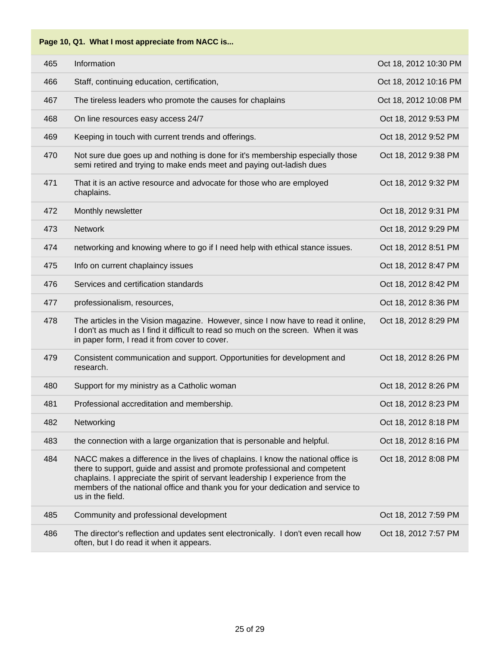| 465 | Information                                                                                                                                                                                                                                                                                                                                            | Oct 18, 2012 10:30 PM |
|-----|--------------------------------------------------------------------------------------------------------------------------------------------------------------------------------------------------------------------------------------------------------------------------------------------------------------------------------------------------------|-----------------------|
| 466 | Staff, continuing education, certification,                                                                                                                                                                                                                                                                                                            | Oct 18, 2012 10:16 PM |
| 467 | The tireless leaders who promote the causes for chaplains                                                                                                                                                                                                                                                                                              | Oct 18, 2012 10:08 PM |
| 468 | On line resources easy access 24/7                                                                                                                                                                                                                                                                                                                     | Oct 18, 2012 9:53 PM  |
| 469 | Keeping in touch with current trends and offerings.                                                                                                                                                                                                                                                                                                    | Oct 18, 2012 9:52 PM  |
| 470 | Not sure due goes up and nothing is done for it's membership especially those<br>semi retired and trying to make ends meet and paying out-ladish dues                                                                                                                                                                                                  | Oct 18, 2012 9:38 PM  |
| 471 | That it is an active resource and advocate for those who are employed<br>chaplains.                                                                                                                                                                                                                                                                    | Oct 18, 2012 9:32 PM  |
| 472 | Monthly newsletter                                                                                                                                                                                                                                                                                                                                     | Oct 18, 2012 9:31 PM  |
| 473 | <b>Network</b>                                                                                                                                                                                                                                                                                                                                         | Oct 18, 2012 9:29 PM  |
| 474 | networking and knowing where to go if I need help with ethical stance issues.                                                                                                                                                                                                                                                                          | Oct 18, 2012 8:51 PM  |
| 475 | Info on current chaplaincy issues                                                                                                                                                                                                                                                                                                                      | Oct 18, 2012 8:47 PM  |
| 476 | Services and certification standards                                                                                                                                                                                                                                                                                                                   | Oct 18, 2012 8:42 PM  |
| 477 | professionalism, resources,                                                                                                                                                                                                                                                                                                                            | Oct 18, 2012 8:36 PM  |
| 478 | The articles in the Vision magazine. However, since I now have to read it online,<br>I don't as much as I find it difficult to read so much on the screen. When it was<br>in paper form, I read it from cover to cover.                                                                                                                                | Oct 18, 2012 8:29 PM  |
| 479 | Consistent communication and support. Opportunities for development and<br>research.                                                                                                                                                                                                                                                                   | Oct 18, 2012 8:26 PM  |
| 480 | Support for my ministry as a Catholic woman                                                                                                                                                                                                                                                                                                            | Oct 18, 2012 8:26 PM  |
| 481 | Professional accreditation and membership.                                                                                                                                                                                                                                                                                                             | Oct 18, 2012 8:23 PM  |
| 482 | Networking                                                                                                                                                                                                                                                                                                                                             | Oct 18, 2012 8:18 PM  |
| 483 | the connection with a large organization that is personable and helpful.                                                                                                                                                                                                                                                                               | Oct 18, 2012 8:16 PM  |
| 484 | NACC makes a difference in the lives of chaplains. I know the national office is<br>there to support, guide and assist and promote professional and competent<br>chaplains. I appreciate the spirit of servant leadership I experience from the<br>members of the national office and thank you for your dedication and service to<br>us in the field. | Oct 18, 2012 8:08 PM  |
| 485 | Community and professional development                                                                                                                                                                                                                                                                                                                 | Oct 18, 2012 7:59 PM  |
| 486 | The director's reflection and updates sent electronically. I don't even recall how<br>often, but I do read it when it appears.                                                                                                                                                                                                                         | Oct 18, 2012 7:57 PM  |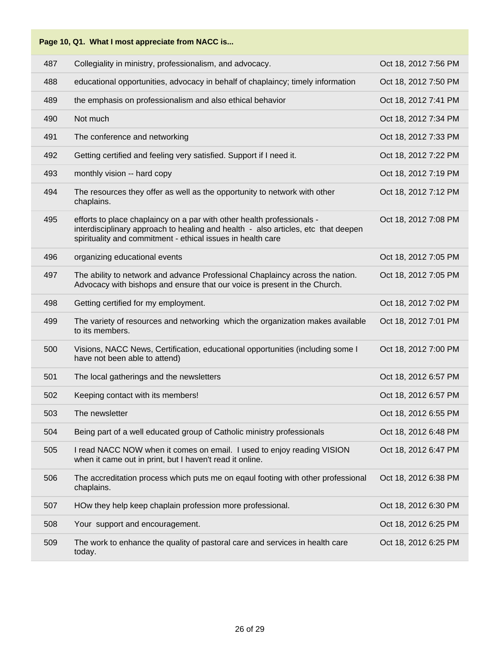| Page 10, Q1. What I most appreciate from NACC is |                                                                                                                                                                                                                            |                      |  |
|--------------------------------------------------|----------------------------------------------------------------------------------------------------------------------------------------------------------------------------------------------------------------------------|----------------------|--|
| 487                                              | Collegiality in ministry, professionalism, and advocacy.                                                                                                                                                                   | Oct 18, 2012 7:56 PM |  |
| 488                                              | educational opportunities, advocacy in behalf of chaplaincy; timely information                                                                                                                                            | Oct 18, 2012 7:50 PM |  |
| 489                                              | the emphasis on professionalism and also ethical behavior                                                                                                                                                                  | Oct 18, 2012 7:41 PM |  |
| 490                                              | Not much                                                                                                                                                                                                                   | Oct 18, 2012 7:34 PM |  |
| 491                                              | The conference and networking                                                                                                                                                                                              | Oct 18, 2012 7:33 PM |  |
| 492                                              | Getting certified and feeling very satisfied. Support if I need it.                                                                                                                                                        | Oct 18, 2012 7:22 PM |  |
| 493                                              | monthly vision -- hard copy                                                                                                                                                                                                | Oct 18, 2012 7:19 PM |  |
| 494                                              | The resources they offer as well as the opportunity to network with other<br>chaplains.                                                                                                                                    | Oct 18, 2012 7:12 PM |  |
| 495                                              | efforts to place chaplaincy on a par with other health professionals -<br>interdisciplinary approach to healing and health - also articles, etc that deepen<br>spirituality and commitment - ethical issues in health care | Oct 18, 2012 7:08 PM |  |
| 496                                              | organizing educational events                                                                                                                                                                                              | Oct 18, 2012 7:05 PM |  |
| 497                                              | The ability to network and advance Professional Chaplaincy across the nation.<br>Advocacy with bishops and ensure that our voice is present in the Church.                                                                 | Oct 18, 2012 7:05 PM |  |
| 498                                              | Getting certified for my employment.                                                                                                                                                                                       | Oct 18, 2012 7:02 PM |  |
| 499                                              | The variety of resources and networking which the organization makes available<br>to its members.                                                                                                                          | Oct 18, 2012 7:01 PM |  |
| 500                                              | Visions, NACC News, Certification, educational opportunities (including some I<br>have not been able to attend)                                                                                                            | Oct 18, 2012 7:00 PM |  |
| 501                                              | The local gatherings and the newsletters                                                                                                                                                                                   | Oct 18, 2012 6:57 PM |  |
| 502                                              | Keeping contact with its members!                                                                                                                                                                                          | Oct 18, 2012 6:57 PM |  |
| 503                                              | The newsletter                                                                                                                                                                                                             | Oct 18, 2012 6:55 PM |  |
| 504                                              | Being part of a well educated group of Catholic ministry professionals                                                                                                                                                     | Oct 18, 2012 6:48 PM |  |
| 505                                              | I read NACC NOW when it comes on email. I used to enjoy reading VISION<br>when it came out in print, but I haven't read it online.                                                                                         | Oct 18, 2012 6:47 PM |  |
| 506                                              | The accreditation process which puts me on eqaul footing with other professional<br>chaplains.                                                                                                                             | Oct 18, 2012 6:38 PM |  |
| 507                                              | HOw they help keep chaplain profession more professional.                                                                                                                                                                  | Oct 18, 2012 6:30 PM |  |
| 508                                              | Your support and encouragement.                                                                                                                                                                                            | Oct 18, 2012 6:25 PM |  |
| 509                                              | The work to enhance the quality of pastoral care and services in health care<br>today.                                                                                                                                     | Oct 18, 2012 6:25 PM |  |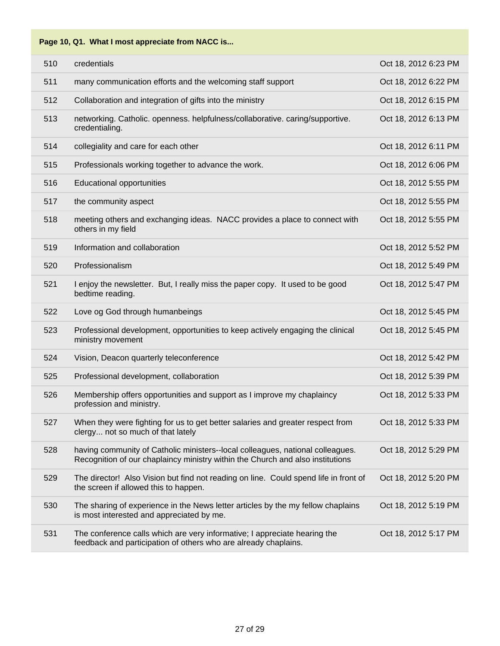| 510 | credentials                                                                                                                                                      | Oct 18, 2012 6:23 PM |
|-----|------------------------------------------------------------------------------------------------------------------------------------------------------------------|----------------------|
| 511 | many communication efforts and the welcoming staff support                                                                                                       | Oct 18, 2012 6:22 PM |
| 512 | Collaboration and integration of gifts into the ministry                                                                                                         | Oct 18, 2012 6:15 PM |
| 513 | networking. Catholic. openness. helpfulness/collaborative. caring/supportive.<br>credentialing.                                                                  | Oct 18, 2012 6:13 PM |
| 514 | collegiality and care for each other                                                                                                                             | Oct 18, 2012 6:11 PM |
| 515 | Professionals working together to advance the work.                                                                                                              | Oct 18, 2012 6:06 PM |
| 516 | <b>Educational opportunities</b>                                                                                                                                 | Oct 18, 2012 5:55 PM |
| 517 | the community aspect                                                                                                                                             | Oct 18, 2012 5:55 PM |
| 518 | meeting others and exchanging ideas. NACC provides a place to connect with<br>others in my field                                                                 | Oct 18, 2012 5:55 PM |
| 519 | Information and collaboration                                                                                                                                    | Oct 18, 2012 5:52 PM |
| 520 | Professionalism                                                                                                                                                  | Oct 18, 2012 5:49 PM |
| 521 | I enjoy the newsletter. But, I really miss the paper copy. It used to be good<br>bedtime reading.                                                                | Oct 18, 2012 5:47 PM |
| 522 | Love og God through humanbeings                                                                                                                                  | Oct 18, 2012 5:45 PM |
| 523 | Professional development, opportunities to keep actively engaging the clinical<br>ministry movement                                                              | Oct 18, 2012 5:45 PM |
| 524 | Vision, Deacon quarterly teleconference                                                                                                                          | Oct 18, 2012 5:42 PM |
| 525 | Professional development, collaboration                                                                                                                          | Oct 18, 2012 5:39 PM |
| 526 | Membership offers opportunities and support as I improve my chaplaincy<br>profession and ministry.                                                               | Oct 18, 2012 5:33 PM |
| 527 | When they were fighting for us to get better salaries and greater respect from<br>clergy not so much of that lately                                              | Oct 18, 2012 5:33 PM |
| 528 | having community of Catholic ministers--local colleagues, national colleagues.<br>Recognition of our chaplaincy ministry within the Church and also institutions | Oct 18, 2012 5:29 PM |
| 529 | The director! Also Vision but find not reading on line. Could spend life in front of<br>the screen if allowed this to happen.                                    | Oct 18, 2012 5:20 PM |
| 530 | The sharing of experience in the News letter articles by the my fellow chaplains<br>is most interested and appreciated by me.                                    | Oct 18, 2012 5:19 PM |
| 531 | The conference calls which are very informative; I appreciate hearing the<br>feedback and participation of others who are already chaplains.                     | Oct 18, 2012 5:17 PM |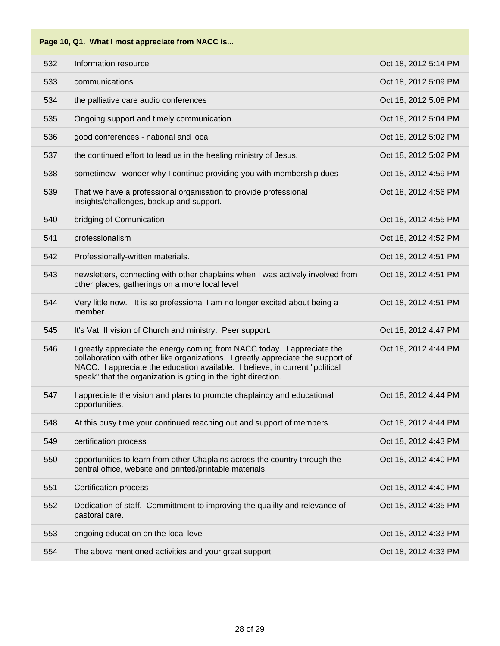| 532 | Information resource                                                                                                                                                                                                                                                                                          | Oct 18, 2012 5:14 PM |
|-----|---------------------------------------------------------------------------------------------------------------------------------------------------------------------------------------------------------------------------------------------------------------------------------------------------------------|----------------------|
| 533 | communications                                                                                                                                                                                                                                                                                                | Oct 18, 2012 5:09 PM |
| 534 | the palliative care audio conferences                                                                                                                                                                                                                                                                         | Oct 18, 2012 5:08 PM |
| 535 | Ongoing support and timely communication.                                                                                                                                                                                                                                                                     | Oct 18, 2012 5:04 PM |
| 536 | good conferences - national and local                                                                                                                                                                                                                                                                         | Oct 18, 2012 5:02 PM |
| 537 | the continued effort to lead us in the healing ministry of Jesus.                                                                                                                                                                                                                                             | Oct 18, 2012 5:02 PM |
| 538 | sometimew I wonder why I continue providing you with membership dues                                                                                                                                                                                                                                          | Oct 18, 2012 4:59 PM |
| 539 | That we have a professional organisation to provide professional<br>insights/challenges, backup and support.                                                                                                                                                                                                  | Oct 18, 2012 4:56 PM |
| 540 | bridging of Comunication                                                                                                                                                                                                                                                                                      | Oct 18, 2012 4:55 PM |
| 541 | professionalism                                                                                                                                                                                                                                                                                               | Oct 18, 2012 4:52 PM |
| 542 | Professionally-written materials.                                                                                                                                                                                                                                                                             | Oct 18, 2012 4:51 PM |
| 543 | newsletters, connecting with other chaplains when I was actively involved from<br>other places; gatherings on a more local level                                                                                                                                                                              | Oct 18, 2012 4:51 PM |
| 544 | Very little now. It is so professional I am no longer excited about being a<br>member.                                                                                                                                                                                                                        | Oct 18, 2012 4:51 PM |
| 545 | It's Vat. II vision of Church and ministry. Peer support.                                                                                                                                                                                                                                                     | Oct 18, 2012 4:47 PM |
| 546 | I greatly appreciate the energy coming from NACC today. I appreciate the<br>collaboration with other like organizations. I greatly appreciate the support of<br>NACC. I appreciate the education available. I believe, in current "political<br>speak" that the organization is going in the right direction. | Oct 18, 2012 4:44 PM |
| 547 | I appreciate the vision and plans to promote chaplaincy and educational<br>opportunities.                                                                                                                                                                                                                     | Oct 18, 2012 4:44 PM |
| 548 | At this busy time your continued reaching out and support of members.                                                                                                                                                                                                                                         | Oct 18, 2012 4:44 PM |
| 549 | certification process                                                                                                                                                                                                                                                                                         | Oct 18, 2012 4:43 PM |
| 550 | opportunities to learn from other Chaplains across the country through the<br>central office, website and printed/printable materials.                                                                                                                                                                        | Oct 18, 2012 4:40 PM |
| 551 | <b>Certification process</b>                                                                                                                                                                                                                                                                                  | Oct 18, 2012 4:40 PM |
| 552 | Dedication of staff. Committment to improving the qualilty and relevance of<br>pastoral care.                                                                                                                                                                                                                 | Oct 18, 2012 4:35 PM |
| 553 | ongoing education on the local level                                                                                                                                                                                                                                                                          | Oct 18, 2012 4:33 PM |
| 554 | The above mentioned activities and your great support                                                                                                                                                                                                                                                         | Oct 18, 2012 4:33 PM |